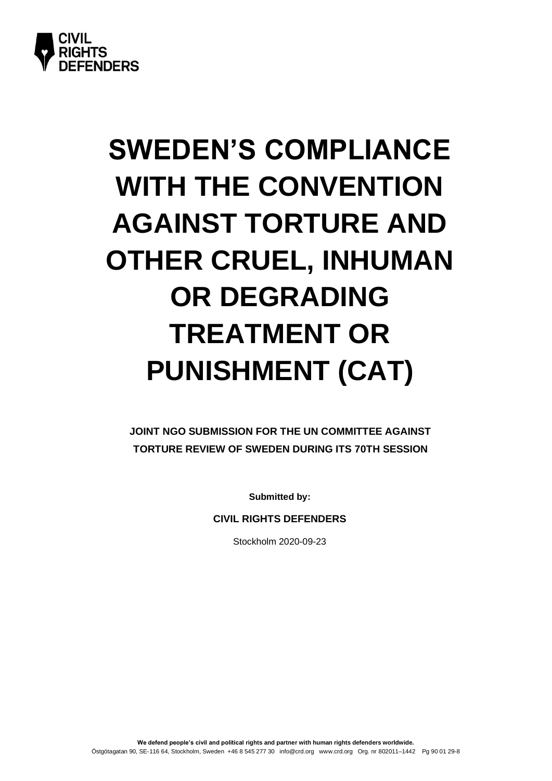

# **SWEDEN'S COMPLIANCE WITH THE CONVENTION AGAINST TORTURE AND OTHER CRUEL, INHUMAN OR DEGRADING TREATMENT OR PUNISHMENT (CAT)**

**JOINT NGO SUBMISSION FOR THE UN COMMITTEE AGAINST TORTURE REVIEW OF SWEDEN DURING ITS 70TH SESSION**

**Submitted by:**

**CIVIL RIGHTS DEFENDERS**

Stockholm 2020-09-23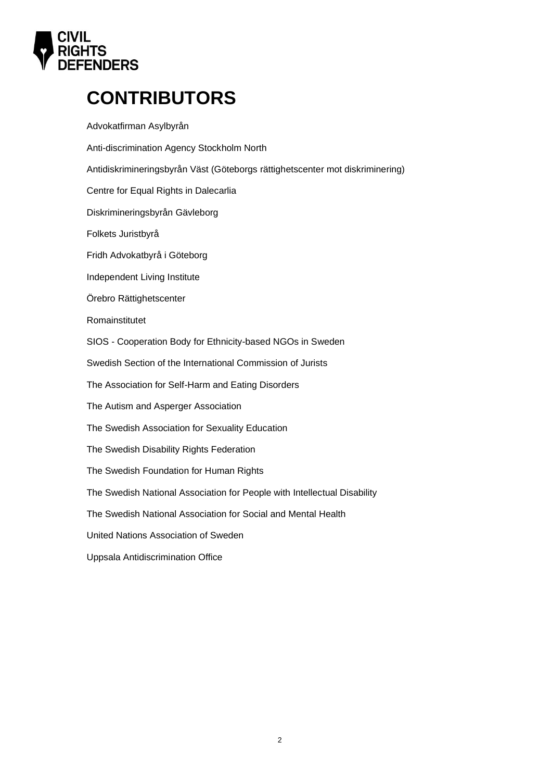

# **CONTRIBUTORS**

Advokatfirman Asylbyrån Anti-discrimination Agency Stockholm North Antidiskrimineringsbyrån Väst (Göteborgs rättighetscenter mot diskriminering) Centre for Equal Rights in Dalecarlia Diskrimineringsbyrån Gävleborg Folkets Juristbyrå Fridh Advokatbyrå i Göteborg Independent Living Institute Örebro Rättighetscenter Romainstitutet SIOS - Cooperation Body for Ethnicity-based NGOs in Sweden Swedish Section of the International Commission of Jurists The Association for Self-Harm and Eating Disorders The Autism and Asperger Association The Swedish Association for Sexuality Education The Swedish Disability Rights Federation The Swedish Foundation for Human Rights The Swedish National Association for People with Intellectual Disability The Swedish National Association for Social and Mental Health United Nations Association of Sweden Uppsala Antidiscrimination Office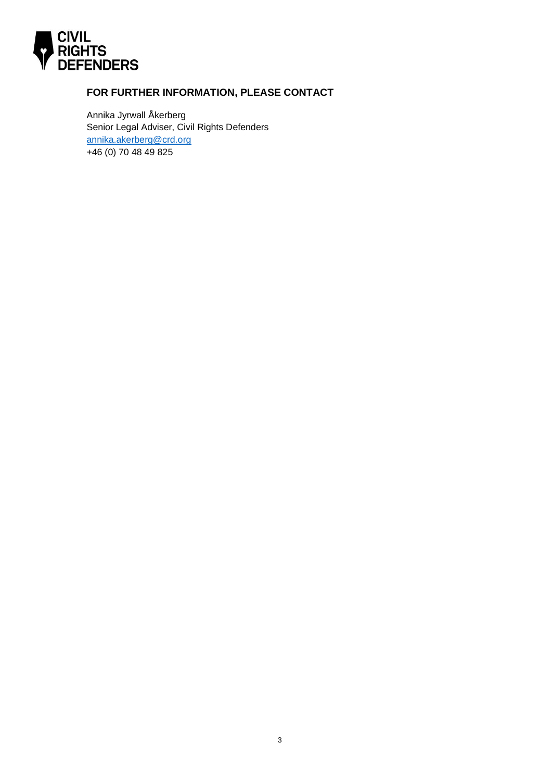

# **FOR FURTHER INFORMATION, PLEASE CONTACT**

Annika Jyrwall Åkerberg Senior Legal Adviser, Civil Rights Defenders [annika.akerberg@crd.org](mailto:annika.akerberg@crd.org) +46 (0) 70 48 49 825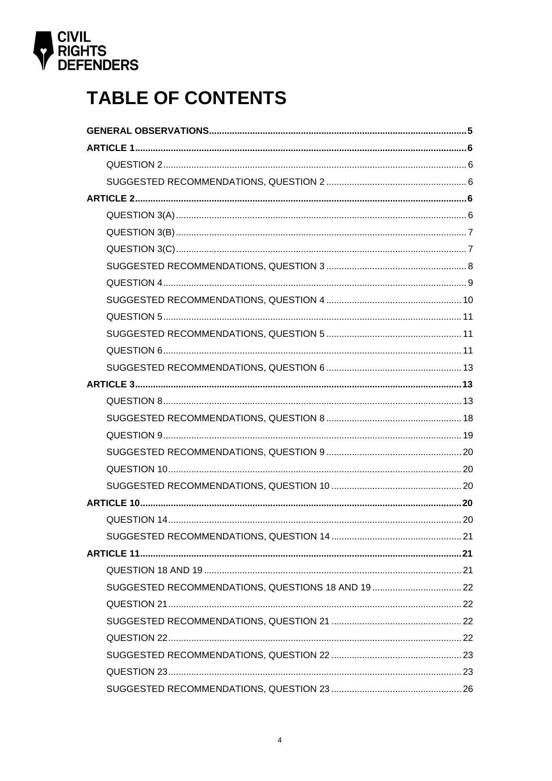

# **TABLE OF CONTENTS**

| SUGGESTED RECOMMENDATIONS, QUESTIONS 18 AND 19  22 |  |
|----------------------------------------------------|--|
|                                                    |  |
|                                                    |  |
|                                                    |  |
|                                                    |  |
|                                                    |  |
|                                                    |  |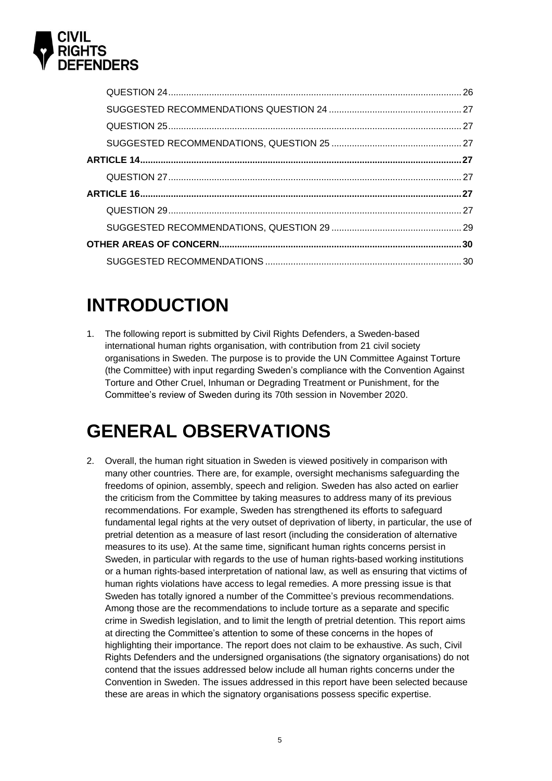

# **INTRODUCTION**

1. The following report is submitted by Civil Rights Defenders, a Sweden-based international human rights organisation, with contribution from 21 civil society organisations in Sweden. The purpose is to provide the UN Committee Against Torture (the Committee) with input regarding Sweden's compliance with the Convention Against Torture and Other Cruel, Inhuman or Degrading Treatment or Punishment, for the Committee's review of Sweden during its 70th session in November 2020.

# <span id="page-4-0"></span>**GENERAL OBSERVATIONS**

2. Overall, the human right situation in Sweden is viewed positively in comparison with many other countries. There are, for example, oversight mechanisms safeguarding the freedoms of opinion, assembly, speech and religion. Sweden has also acted on earlier the criticism from the Committee by taking measures to address many of its previous recommendations. For example, Sweden has strengthened its efforts to safeguard fundamental legal rights at the very outset of deprivation of liberty, in particular, the use of pretrial detention as a measure of last resort (including the consideration of alternative measures to its use). At the same time, significant human rights concerns persist in Sweden, in particular with regards to the use of human rights-based working institutions or a human rights-based interpretation of national law, as well as ensuring that victims of human rights violations have access to legal remedies. A more pressing issue is that Sweden has totally ignored a number of the Committee's previous recommendations. Among those are the recommendations to include torture as a separate and specific crime in Swedish legislation, and to limit the length of pretrial detention. This report aims at directing the Committee's attention to some of these concerns in the hopes of highlighting their importance. The report does not claim to be exhaustive. As such, Civil Rights Defenders and the undersigned organisations (the signatory organisations) do not contend that the issues addressed below include all human rights concerns under the Convention in Sweden. The issues addressed in this report have been selected because these are areas in which the signatory organisations possess specific expertise.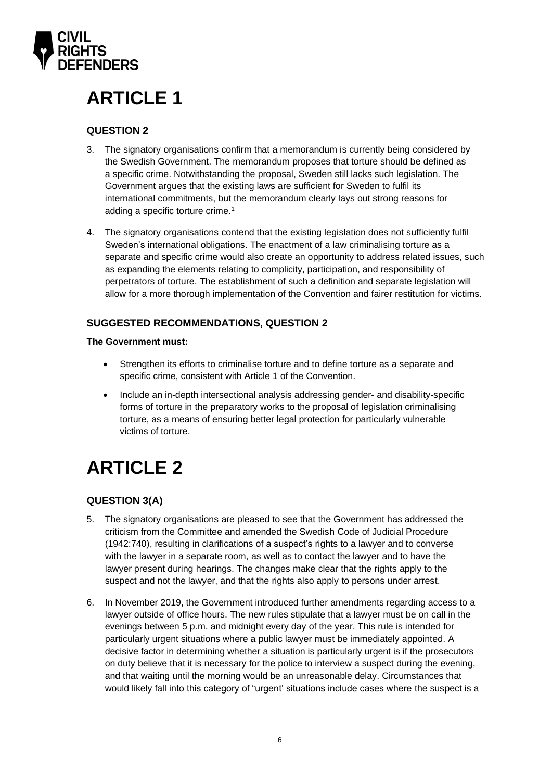

# <span id="page-5-0"></span>**ARTICLE 1**

# <span id="page-5-1"></span>**QUESTION 2**

- 3. The signatory organisations confirm that a memorandum is currently being considered by the Swedish Government. The memorandum proposes that torture should be defined as a specific crime. Notwithstanding the proposal, Sweden still lacks such legislation. The Government argues that the existing laws are sufficient for Sweden to fulfil its international commitments, but the memorandum clearly lays out strong reasons for adding a specific torture crime. 1
- 4. The signatory organisations contend that the existing legislation does not sufficiently fulfil Sweden's international obligations. The enactment of a law criminalising torture as a separate and specific crime would also create an opportunity to address related issues, such as expanding the elements relating to complicity, participation, and responsibility of perpetrators of torture. The establishment of such a definition and separate legislation will allow for a more thorough implementation of the Convention and fairer restitution for victims.

# <span id="page-5-2"></span>**SUGGESTED RECOMMENDATIONS, QUESTION 2**

#### **The Government must:**

- Strengthen its efforts to criminalise torture and to define torture as a separate and specific crime, consistent with Article 1 of the Convention.
- Include an in-depth intersectional analysis addressing gender- and disability-specific forms of torture in the preparatory works to the proposal of legislation criminalising torture, as a means of ensuring better legal protection for particularly vulnerable victims of torture.

# <span id="page-5-3"></span>**ARTICLE 2**

# <span id="page-5-4"></span>**QUESTION 3(A)**

- 5. The signatory organisations are pleased to see that the Government has addressed the criticism from the Committee and amended the Swedish Code of Judicial Procedure (1942:740), resulting in clarifications of a suspect's rights to a lawyer and to converse with the lawyer in a separate room, as well as to contact the lawyer and to have the lawyer present during hearings. The changes make clear that the rights apply to the suspect and not the lawyer, and that the rights also apply to persons under arrest.
- 6. In November 2019, the Government introduced further amendments regarding access to a lawyer outside of office hours. The new rules stipulate that a lawyer must be on call in the evenings between 5 p.m. and midnight every day of the year. This rule is intended for particularly urgent situations where a public lawyer must be immediately appointed. A decisive factor in determining whether a situation is particularly urgent is if the prosecutors on duty believe that it is necessary for the police to interview a suspect during the evening, and that waiting until the morning would be an unreasonable delay. Circumstances that would likely fall into this category of "urgent' situations include cases where the suspect is a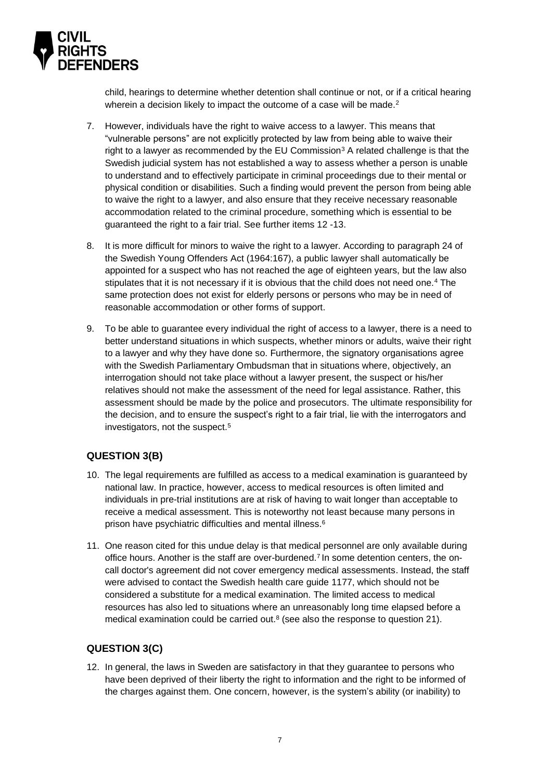

child, hearings to determine whether detention shall continue or not, or if a critical hearing wherein a decision likely to impact the outcome of a case will be made.<sup>2</sup>

- 7. However, individuals have the right to waive access to a lawyer. This means that "vulnerable persons" are not explicitly protected by law from being able to waive their right to a lawyer as recommended by the EU Commission<sup>3</sup> A related challenge is that the Swedish judicial system has not established a way to assess whether a person is unable to understand and to effectively participate in criminal proceedings due to their mental or physical condition or disabilities. Such a finding would prevent the person from being able to waive the right to a lawyer, and also ensure that they receive necessary reasonable accommodation related to the criminal procedure, something which is essential to be guaranteed the right to a fair trial. See further items 12 -13.
- 8. It is more difficult for minors to waive the right to a lawyer. According to paragraph 24 of the Swedish Young Offenders Act (1964:167), a public lawyer shall automatically be appointed for a suspect who has not reached the age of eighteen years, but the law also stipulates that it is not necessary if it is obvious that the child does not need one.<sup>4</sup> The same protection does not exist for elderly persons or persons who may be in need of reasonable accommodation or other forms of support.
- 9. To be able to guarantee every individual the right of access to a lawyer, there is a need to better understand situations in which suspects, whether minors or adults, waive their right to a lawyer and why they have done so. Furthermore, the signatory organisations agree with the Swedish Parliamentary Ombudsman that in situations where, objectively, an interrogation should not take place without a lawyer present, the suspect or his/her relatives should not make the assessment of the need for legal assistance. Rather, this assessment should be made by the police and prosecutors. The ultimate responsibility for the decision, and to ensure the suspect's right to a fair trial, lie with the interrogators and investigators, not the suspect.<sup>5</sup>

# <span id="page-6-0"></span>**QUESTION 3(B)**

- 10. The legal requirements are fulfilled as access to a medical examination is guaranteed by national law. In practice, however, access to medical resources is often limited and individuals in pre-trial institutions are at risk of having to wait longer than acceptable to receive a medical assessment. This is noteworthy not least because many persons in prison have psychiatric difficulties and mental illness. 6
- 11. One reason cited for this undue delay is that medical personnel are only available during office hours. Another is the staff are over-burdened. 7 In some detention centers, the oncall doctor's agreement did not cover emergency medical assessments. Instead, the staff were advised to contact the Swedish health care guide 1177, which should not be considered a substitute for a medical examination. The limited access to medical resources has also led to situations where an unreasonably long time elapsed before a medical examination could be carried out.<sup>8</sup> (see also the response to question 21).

### <span id="page-6-1"></span>**QUESTION 3(C)**

12. In general, the laws in Sweden are satisfactory in that they guarantee to persons who have been deprived of their liberty the right to information and the right to be informed of the charges against them. One concern, however, is the system's ability (or inability) to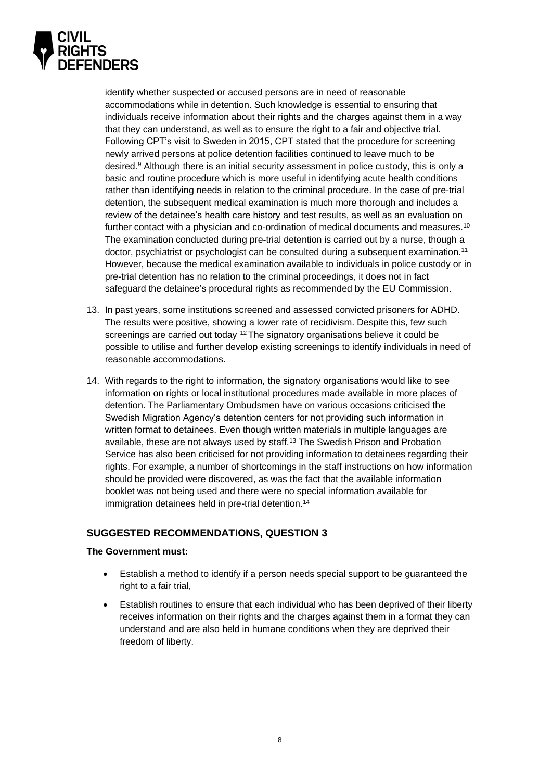

identify whether suspected or accused persons are in need of reasonable accommodations while in detention. Such knowledge is essential to ensuring that individuals receive information about their rights and the charges against them in a way that they can understand, as well as to ensure the right to a fair and objective trial. Following CPT's visit to Sweden in 2015, CPT stated that the procedure for screening newly arrived persons at police detention facilities continued to leave much to be desired.<sup>9</sup> Although there is an initial security assessment in police custody, this is only a basic and routine procedure which is more useful in identifying acute health conditions rather than identifying needs in relation to the criminal procedure. In the case of pre-trial detention, the subsequent medical examination is much more thorough and includes a review of the detainee's health care history and test results, as well as an evaluation on further contact with a physician and co-ordination of medical documents and measures.<sup>10</sup> The examination conducted during pre-trial detention is carried out by a nurse, though a doctor, psychiatrist or psychologist can be consulted during a subsequent examination.<sup>11</sup> However, because the medical examination available to individuals in police custody or in pre-trial detention has no relation to the criminal proceedings, it does not in fact safeguard the detainee's procedural rights as recommended by the EU Commission.

- 13. In past years, some institutions screened and assessed convicted prisoners for ADHD. The results were positive, showing a lower rate of recidivism. Despite this, few such screenings are carried out today <sup>12</sup> The signatory organisations believe it could be possible to utilise and further develop existing screenings to identify individuals in need of reasonable accommodations.
- 14. With regards to the right to information, the signatory organisations would like to see information on rights or local institutional procedures made available in more places of detention. The Parliamentary Ombudsmen have on various occasions criticised the Swedish Migration Agency's detention centers for not providing such information in written format to detainees. Even though written materials in multiple languages are available, these are not always used by staff.<sup>13</sup> The Swedish Prison and Probation Service has also been criticised for not providing information to detainees regarding their rights. For example, a number of shortcomings in the staff instructions on how information should be provided were discovered, as was the fact that the available information booklet was not being used and there were no special information available for immigration detainees held in pre-trial detention.<sup>14</sup>

### <span id="page-7-0"></span>**SUGGESTED RECOMMENDATIONS, QUESTION 3**

#### **The Government must:**

- Establish a method to identify if a person needs special support to be guaranteed the right to a fair trial,
- Establish routines to ensure that each individual who has been deprived of their liberty receives information on their rights and the charges against them in a format they can understand and are also held in humane conditions when they are deprived their freedom of liberty.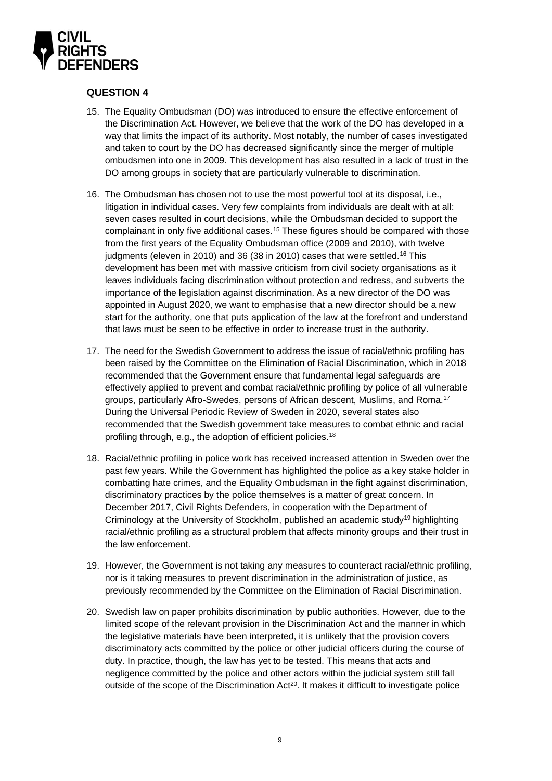

### <span id="page-8-0"></span>**QUESTION 4**

- 15. The Equality Ombudsman (DO) was introduced to ensure the effective enforcement of the Discrimination Act. However, we believe that the work of the DO has developed in a way that limits the impact of its authority. Most notably, the number of cases investigated and taken to court by the DO has decreased significantly since the merger of multiple ombudsmen into one in 2009. This development has also resulted in a lack of trust in the DO among groups in society that are particularly vulnerable to discrimination.
- 16. The Ombudsman has chosen not to use the most powerful tool at its disposal, i.e., litigation in individual cases. Very few complaints from individuals are dealt with at all: seven cases resulted in court decisions, while the Ombudsman decided to support the complainant in only five additional cases.<sup>15</sup> These figures should be compared with those from the first years of the Equality Ombudsman office (2009 and 2010), with twelve judgments (eleven in 2010) and 36 (38 in 2010) cases that were settled.<sup>16</sup> This development has been met with massive criticism from civil society organisations as it leaves individuals facing discrimination without protection and redress, and subverts the importance of the legislation against discrimination. As a new director of the DO was appointed in August 2020, we want to emphasise that a new director should be a new start for the authority, one that puts application of the law at the forefront and understand that laws must be seen to be effective in order to increase trust in the authority.
- 17. The need for the Swedish Government to address the issue of racial/ethnic profiling has been raised by the Committee on the Elimination of Racial Discrimination, which in 2018 recommended that the Government ensure that fundamental legal safeguards are effectively applied to prevent and combat racial/ethnic profiling by police of all vulnerable groups, particularly Afro-Swedes, persons of African descent, Muslims, and Roma.<sup>17</sup> During the Universal Periodic Review of Sweden in 2020, several states also recommended that the Swedish government take measures to combat ethnic and racial profiling through, e.g., the adoption of efficient policies.<sup>18</sup>
- 18. Racial/ethnic profiling in police work has received increased attention in Sweden over the past few years. While the Government has highlighted the police as a key stake holder in combatting hate crimes, and the Equality Ombudsman in the fight against discrimination, discriminatory practices by the police themselves is a matter of great concern. In December 2017, Civil Rights Defenders, in cooperation with the Department of Criminology at the University of Stockholm, published an academic study<sup>19</sup> highlighting racial/ethnic profiling as a structural problem that affects minority groups and their trust in the law enforcement.
- 19. However, the Government is not taking any measures to counteract racial/ethnic profiling, nor is it taking measures to prevent discrimination in the administration of justice, as previously recommended by the Committee on the Elimination of Racial Discrimination.
- 20. Swedish law on paper prohibits discrimination by public authorities. However, due to the limited scope of the relevant provision in the Discrimination Act and the manner in which the legislative materials have been interpreted, it is unlikely that the provision covers discriminatory acts committed by the police or other judicial officers during the course of duty. In practice, though, the law has yet to be tested. This means that acts and negligence committed by the police and other actors within the judicial system still fall outside of the scope of the Discrimination  $Act^{20}$ . It makes it difficult to investigate police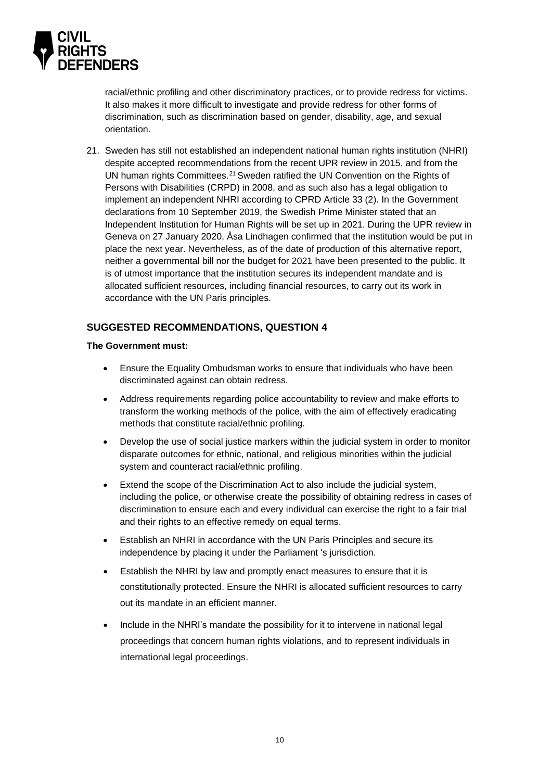

racial/ethnic profiling and other discriminatory practices, or to provide redress for victims. It also makes it more difficult to investigate and provide redress for other forms of discrimination, such as discrimination based on gender, disability, age, and sexual orientation.

21. Sweden has still not established an independent national human rights institution (NHRI) despite accepted recommendations from the recent UPR review in 2015, and from the UN human rights Committees.<sup>21</sup> Sweden ratified the UN Convention on the Rights of Persons with Disabilities (CRPD) in 2008, and as such also has a legal obligation to implement an independent NHRI according to CPRD Article 33 (2). In the Government declarations from 10 September 2019, the Swedish Prime Minister stated that an Independent Institution for Human Rights will be set up in 2021. During the UPR review in Geneva on 27 January 2020, Åsa Lindhagen confirmed that the institution would be put in place the next year. Nevertheless, as of the date of production of this alternative report, neither a governmental bill nor the budget for 2021 have been presented to the public. It is of utmost importance that the institution secures its independent mandate and is allocated sufficient resources, including financial resources, to carry out its work in accordance with the UN Paris principles.

### <span id="page-9-0"></span>**SUGGESTED RECOMMENDATIONS, QUESTION 4**

#### **The Government must:**

- Ensure the Equality Ombudsman works to ensure that individuals who have been discriminated against can obtain redress.
- Address requirements regarding police accountability to review and make efforts to transform the working methods of the police, with the aim of effectively eradicating methods that constitute racial/ethnic profiling.
- Develop the use of social justice markers within the judicial system in order to monitor disparate outcomes for ethnic, national, and religious minorities within the judicial system and counteract racial/ethnic profiling.
- Extend the scope of the Discrimination Act to also include the judicial system, including the police, or otherwise create the possibility of obtaining redress in cases of discrimination to ensure each and every individual can exercise the right to a fair trial and their rights to an effective remedy on equal terms.
- Establish an NHRI in accordance with the UN Paris Principles and secure its independence by placing it under the Parliament 's jurisdiction.
- Establish the NHRI by law and promptly enact measures to ensure that it is constitutionally protected. Ensure the NHRI is allocated sufficient resources to carry out its mandate in an efficient manner.
- Include in the NHRI's mandate the possibility for it to intervene in national legal proceedings that concern human rights violations, and to represent individuals in international legal proceedings.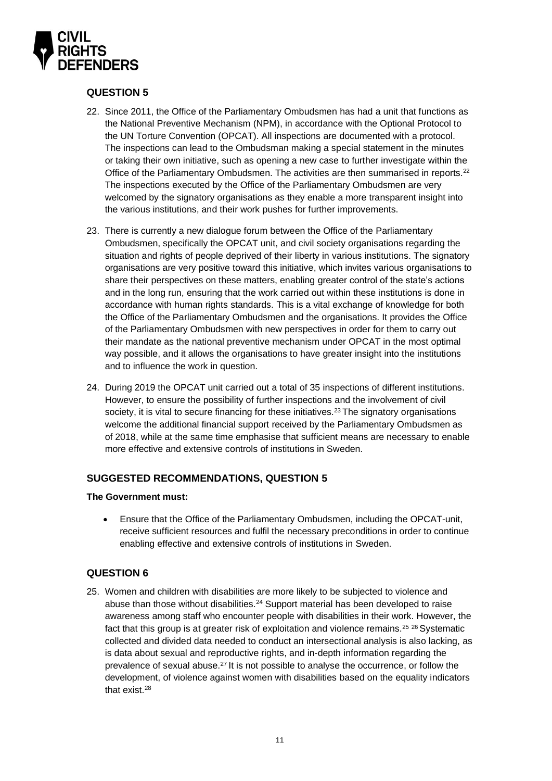

### <span id="page-10-0"></span>**QUESTION 5**

- 22. Since 2011, the Office of the Parliamentary Ombudsmen has had a unit that functions as the National Preventive Mechanism (NPM), in accordance with the Optional Protocol to the UN Torture Convention (OPCAT). All inspections are documented with a protocol. The inspections can lead to the Ombudsman making a special statement in the minutes or taking their own initiative, such as opening a new case to further investigate within the Office of the Parliamentary Ombudsmen. The activities are then summarised in reports.<sup>22</sup> The inspections executed by the Office of the Parliamentary Ombudsmen are very welcomed by the signatory organisations as they enable a more transparent insight into the various institutions, and their work pushes for further improvements.
- 23. There is currently a new dialogue forum between the Office of the Parliamentary Ombudsmen, specifically the OPCAT unit, and civil society organisations regarding the situation and rights of people deprived of their liberty in various institutions. The signatory organisations are very positive toward this initiative, which invites various organisations to share their perspectives on these matters, enabling greater control of the state's actions and in the long run, ensuring that the work carried out within these institutions is done in accordance with human rights standards. This is a vital exchange of knowledge for both the Office of the Parliamentary Ombudsmen and the organisations. It provides the Office of the Parliamentary Ombudsmen with new perspectives in order for them to carry out their mandate as the national preventive mechanism under OPCAT in the most optimal way possible, and it allows the organisations to have greater insight into the institutions and to influence the work in question.
- 24. During 2019 the OPCAT unit carried out a total of 35 inspections of different institutions. However, to ensure the possibility of further inspections and the involvement of civil society, it is vital to secure financing for these initiatives.<sup>23</sup> The signatory organisations welcome the additional financial support received by the Parliamentary Ombudsmen as of 2018, while at the same time emphasise that sufficient means are necessary to enable more effective and extensive controls of institutions in Sweden.

### <span id="page-10-1"></span>**SUGGESTED RECOMMENDATIONS, QUESTION 5**

#### **The Government must:**

• Ensure that the Office of the Parliamentary Ombudsmen, including the OPCAT-unit, receive sufficient resources and fulfil the necessary preconditions in order to continue enabling effective and extensive controls of institutions in Sweden.

### <span id="page-10-2"></span>**QUESTION 6**

25. Women and children with disabilities are more likely to be subjected to violence and abuse than those without disabilities.<sup>24</sup> Support material has been developed to raise awareness among staff who encounter people with disabilities in their work. However, the fact that this group is at greater risk of exploitation and violence remains.<sup>25 26</sup> Systematic collected and divided data needed to conduct an intersectional analysis is also lacking, as is data about sexual and reproductive rights, and in-depth information regarding the prevalence of sexual abuse.<sup>27</sup> It is not possible to analyse the occurrence, or follow the development, of violence against women with disabilities based on the equality indicators that exist. 28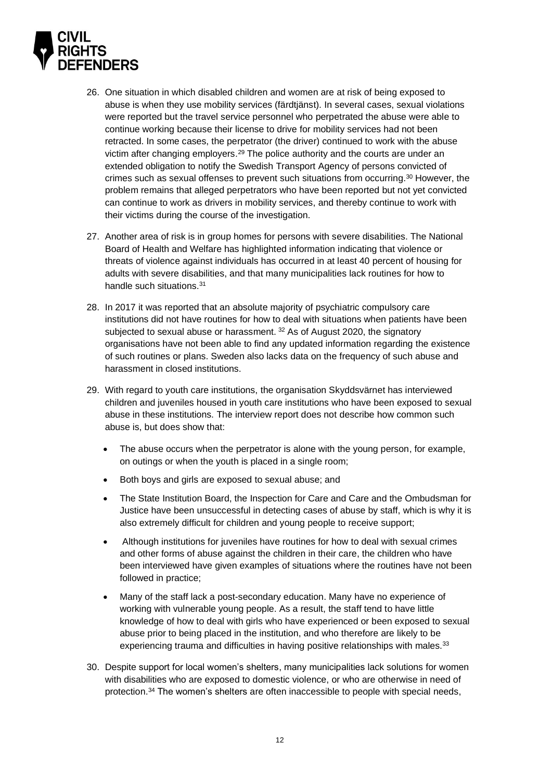

- 26. One situation in which disabled children and women are at risk of being exposed to abuse is when they use mobility services (färdtjänst). In several cases, sexual violations were reported but the travel service personnel who perpetrated the abuse were able to continue working because their license to drive for mobility services had not been retracted. In some cases, the perpetrator (the driver) continued to work with the abuse victim after changing employers. $29$  The police authority and the courts are under an extended obligation to notify the Swedish Transport Agency of persons convicted of crimes such as sexual offenses to prevent such situations from occurring. <sup>30</sup> However, the problem remains that alleged perpetrators who have been reported but not yet convicted can continue to work as drivers in mobility services, and thereby continue to work with their victims during the course of the investigation.
- 27. Another area of risk is in group homes for persons with severe disabilities. The National Board of Health and Welfare has highlighted information indicating that violence or threats of violence against individuals has occurred in at least 40 percent of housing for adults with severe disabilities, and that many municipalities lack routines for how to handle such situations. 31
- 28. In 2017 it was reported that an absolute majority of psychiatric compulsory care institutions did not have routines for how to deal with situations when patients have been subjected to sexual abuse or harassment. <sup>32</sup> As of August 2020, the signatory organisations have not been able to find any updated information regarding the existence of such routines or plans. Sweden also lacks data on the frequency of such abuse and harassment in closed institutions.
- 29. With regard to youth care institutions, the organisation Skyddsvärnet has interviewed children and juveniles housed in youth care institutions who have been exposed to sexual abuse in these institutions. The interview report does not describe how common such abuse is, but does show that:
	- The abuse occurs when the perpetrator is alone with the young person, for example, on outings or when the youth is placed in a single room;
	- Both boys and girls are exposed to sexual abuse; and
	- The State Institution Board, the Inspection for Care and Care and the Ombudsman for Justice have been unsuccessful in detecting cases of abuse by staff, which is why it is also extremely difficult for children and young people to receive support;
	- Although institutions for juveniles have routines for how to deal with sexual crimes and other forms of abuse against the children in their care, the children who have been interviewed have given examples of situations where the routines have not been followed in practice;
	- Many of the staff lack a post-secondary education. Many have no experience of working with vulnerable young people. As a result, the staff tend to have little knowledge of how to deal with girls who have experienced or been exposed to sexual abuse prior to being placed in the institution, and who therefore are likely to be experiencing trauma and difficulties in having positive relationships with males.<sup>33</sup>
- 30. Despite support for local women's shelters, many municipalities lack solutions for women with disabilities who are exposed to domestic violence, or who are otherwise in need of protection. <sup>34</sup> The women's shelters are often inaccessible to people with special needs,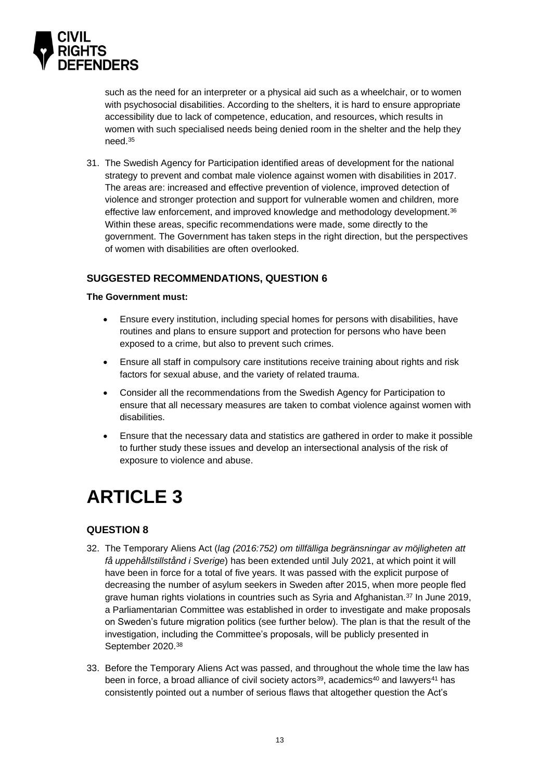

such as the need for an interpreter or a physical aid such as a wheelchair, or to women with psychosocial disabilities. According to the shelters, it is hard to ensure appropriate accessibility due to lack of competence, education, and resources, which results in women with such specialised needs being denied room in the shelter and the help they need<sup>35</sup>

31. The Swedish Agency for Participation identified areas of development for the national strategy to prevent and combat male violence against women with disabilities in 2017. The areas are: increased and effective prevention of violence, improved detection of violence and stronger protection and support for vulnerable women and children, more effective law enforcement, and improved knowledge and methodology development.<sup>36</sup> Within these areas, specific recommendations were made, some directly to the government. The Government has taken steps in the right direction, but the perspectives of women with disabilities are often overlooked.

### <span id="page-12-0"></span>**SUGGESTED RECOMMENDATIONS, QUESTION 6**

#### **The Government must:**

- Ensure every institution, including special homes for persons with disabilities, have routines and plans to ensure support and protection for persons who have been exposed to a crime, but also to prevent such crimes.
- Ensure all staff in compulsory care institutions receive training about rights and risk factors for sexual abuse, and the variety of related trauma.
- Consider all the recommendations from the Swedish Agency for Participation to ensure that all necessary measures are taken to combat violence against women with disabilities.
- Ensure that the necessary data and statistics are gathered in order to make it possible to further study these issues and develop an intersectional analysis of the risk of exposure to violence and abuse.

# <span id="page-12-1"></span>**ARTICLE 3**

# <span id="page-12-2"></span>**QUESTION 8**

- 32. The Temporary Aliens Act (*lag (2016:752) om tillfälliga begränsningar av möjligheten att få uppehållstillstånd i Sverige*) has been extended until July 2021, at which point it will have been in force for a total of five years. It was passed with the explicit purpose of decreasing the number of asylum seekers in Sweden after 2015, when more people fled grave human rights violations in countries such as Syria and Afghanistan.<sup>37</sup> In June 2019, a Parliamentarian Committee was established in order to investigate and make proposals on Sweden's future migration politics (see further below). The plan is that the result of the investigation, including the Committee's proposals, will be publicly presented in September 2020.<sup>38</sup>
- 33. Before the Temporary Aliens Act was passed, and throughout the whole time the law has been in force, a broad alliance of civil society actors<sup>39</sup>, academics<sup>40</sup> and lawyers<sup>41</sup> has consistently pointed out a number of serious flaws that altogether question the Act's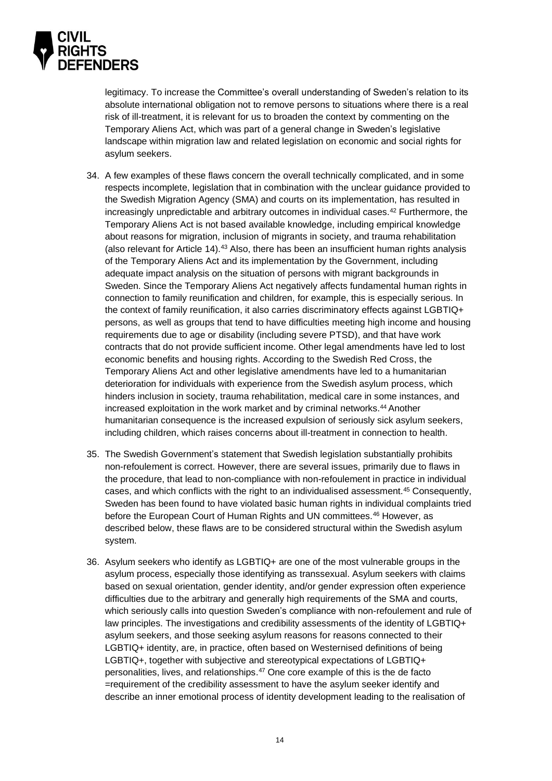

legitimacy. To increase the Committee's overall understanding of Sweden's relation to its absolute international obligation not to remove persons to situations where there is a real risk of ill-treatment, it is relevant for us to broaden the context by commenting on the Temporary Aliens Act, which was part of a general change in Sweden's legislative landscape within migration law and related legislation on economic and social rights for asylum seekers.

- 34. A few examples of these flaws concern the overall technically complicated, and in some respects incomplete, legislation that in combination with the unclear guidance provided to the Swedish Migration Agency (SMA) and courts on its implementation, has resulted in increasingly unpredictable and arbitrary outcomes in individual cases.<sup>42</sup> Furthermore, the Temporary Aliens Act is not based available knowledge, including empirical knowledge about reasons for migration, inclusion of migrants in society, and trauma rehabilitation (also relevant for Article 14).<sup>43</sup> Also, there has been an insufficient human rights analysis of the Temporary Aliens Act and its implementation by the Government, including adequate impact analysis on the situation of persons with migrant backgrounds in Sweden. Since the Temporary Aliens Act negatively affects fundamental human rights in connection to family reunification and children, for example, this is especially serious. In the context of family reunification, it also carries discriminatory effects against LGBTIQ+ persons, as well as groups that tend to have difficulties meeting high income and housing requirements due to age or disability (including severe PTSD), and that have work contracts that do not provide sufficient income. Other legal amendments have led to lost economic benefits and housing rights. According to the Swedish Red Cross, the Temporary Aliens Act and other legislative amendments have led to a humanitarian deterioration for individuals with experience from the Swedish asylum process, which hinders inclusion in society, trauma rehabilitation, medical care in some instances, and increased exploitation in the work market and by criminal networks.<sup>44</sup> Another humanitarian consequence is the increased expulsion of seriously sick asylum seekers, including children, which raises concerns about ill-treatment in connection to health.
- 35. The Swedish Government's statement that Swedish legislation substantially prohibits non-refoulement is correct. However, there are several issues, primarily due to flaws in the procedure, that lead to non-compliance with non-refoulement in practice in individual cases, and which conflicts with the right to an individualised assessment.<sup>45</sup> Consequently, Sweden has been found to have violated basic human rights in individual complaints tried before the European Court of Human Rights and UN committees.<sup>46</sup> However, as described below, these flaws are to be considered structural within the Swedish asylum system.
- 36. Asylum seekers who identify as LGBTIQ+ are one of the most vulnerable groups in the asylum process, especially those identifying as transsexual. Asylum seekers with claims based on sexual orientation, gender identity, and/or gender expression often experience difficulties due to the arbitrary and generally high requirements of the SMA and courts, which seriously calls into question Sweden's compliance with non-refoulement and rule of law principles. The investigations and credibility assessments of the identity of LGBTIQ+ asylum seekers, and those seeking asylum reasons for reasons connected to their LGBTIQ+ identity, are, in practice, often based on Westernised definitions of being LGBTIQ+, together with subjective and stereotypical expectations of LGBTIQ+ personalities, lives, and relationships.<sup>47</sup> One core example of this is the de facto =requirement of the credibility assessment to have the asylum seeker identify and describe an inner emotional process of identity development leading to the realisation of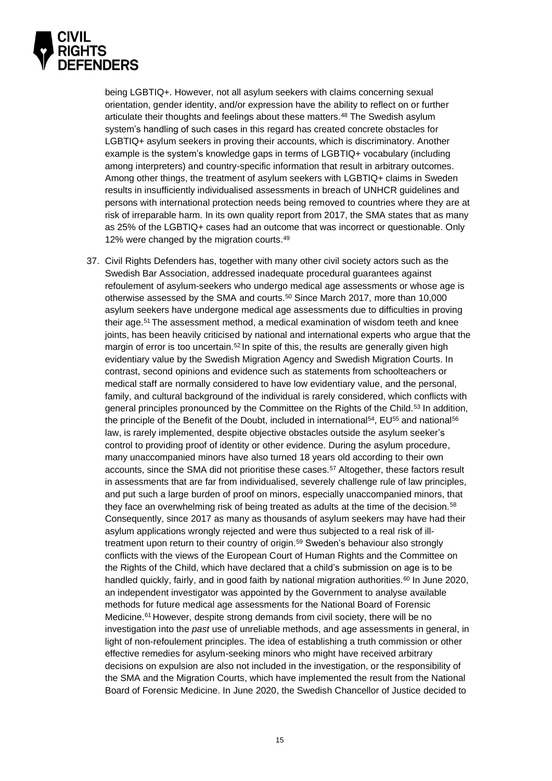

being LGBTIQ+. However, not all asylum seekers with claims concerning sexual orientation, gender identity, and/or expression have the ability to reflect on or further articulate their thoughts and feelings about these matters.<sup>48</sup> The Swedish asylum system's handling of such cases in this regard has created concrete obstacles for LGBTIQ+ asylum seekers in proving their accounts, which is discriminatory. Another example is the system's knowledge gaps in terms of LGBTIQ+ vocabulary (including among interpreters) and country-specific information that result in arbitrary outcomes. Among other things, the treatment of asylum seekers with LGBTIQ+ claims in Sweden results in insufficiently individualised assessments in breach of UNHCR guidelines and persons with international protection needs being removed to countries where they are at risk of irreparable harm. In its own quality report from 2017, the SMA states that as many as 25% of the LGBTIQ+ cases had an outcome that was incorrect or questionable. Only 12% were changed by the migration courts.<sup>49</sup>

37. Civil Rights Defenders has, together with many other civil society actors such as the Swedish Bar Association, addressed inadequate procedural guarantees against refoulement of asylum-seekers who undergo medical age assessments or whose age is otherwise assessed by the SMA and courts.<sup>50</sup> Since March 2017, more than 10,000 asylum seekers have undergone medical age assessments due to difficulties in proving their age.<sup>51</sup> The assessment method, a medical examination of wisdom teeth and knee joints, has been heavily criticised by national and international experts who argue that the margin of error is too uncertain.<sup>52</sup> In spite of this, the results are generally given high evidentiary value by the Swedish Migration Agency and Swedish Migration Courts. In contrast, second opinions and evidence such as statements from schoolteachers or medical staff are normally considered to have low evidentiary value, and the personal, family, and cultural background of the individual is rarely considered, which conflicts with general principles pronounced by the Committee on the Rights of the Child.<sup>53</sup> In addition, the principle of the Benefit of the Doubt, included in international<sup>54</sup>, EU<sup>55</sup> and national<sup>56</sup> law, is rarely implemented, despite objective obstacles outside the asylum seeker's control to providing proof of identity or other evidence. During the asylum procedure, many unaccompanied minors have also turned 18 years old according to their own accounts, since the SMA did not prioritise these cases.<sup>57</sup> Altogether, these factors result in assessments that are far from individualised, severely challenge rule of law principles, and put such a large burden of proof on minors, especially unaccompanied minors, that they face an overwhelming risk of being treated as adults at the time of the decision.<sup>58</sup> Consequently, since 2017 as many as thousands of asylum seekers may have had their asylum applications wrongly rejected and were thus subjected to a real risk of illtreatment upon return to their country of origin.<sup>59</sup> Sweden's behaviour also strongly conflicts with the views of the European Court of Human Rights and the Committee on the Rights of the Child, which have declared that a child's submission on age is to be handled quickly, fairly, and in good faith by national migration authorities.<sup>60</sup> In June 2020, an independent investigator was appointed by the Government to analyse available methods for future medical age assessments for the National Board of Forensic Medicine.<sup>61</sup> However, despite strong demands from civil society, there will be no investigation into the *past* use of unreliable methods, and age assessments in general, in light of non-refoulement principles. The idea of establishing a truth commission or other effective remedies for asylum-seeking minors who might have received arbitrary decisions on expulsion are also not included in the investigation, or the responsibility of the SMA and the Migration Courts, which have implemented the result from the National Board of Forensic Medicine. In June 2020, the Swedish Chancellor of Justice decided to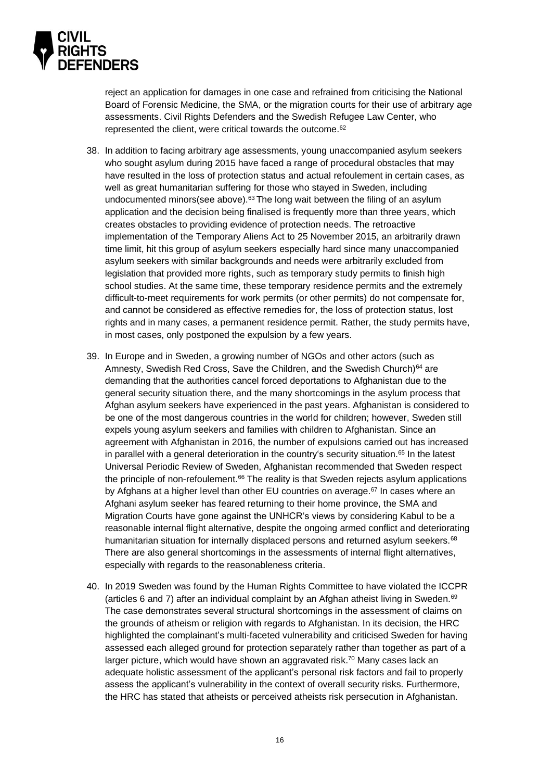

reject an application for damages in one case and refrained from criticising the National Board of Forensic Medicine, the SMA, or the migration courts for their use of arbitrary age assessments. Civil Rights Defenders and the Swedish Refugee Law Center, who represented the client, were critical towards the outcome.<sup>62</sup>

- 38. In addition to facing arbitrary age assessments, young unaccompanied asylum seekers who sought asylum during 2015 have faced a range of procedural obstacles that may have resulted in the loss of protection status and actual refoulement in certain cases, as well as great humanitarian suffering for those who stayed in Sweden, including undocumented minors(see above). $63$  The long wait between the filing of an asylum application and the decision being finalised is frequently more than three years, which creates obstacles to providing evidence of protection needs. The retroactive implementation of the Temporary Aliens Act to 25 November 2015, an arbitrarily drawn time limit, hit this group of asylum seekers especially hard since many unaccompanied asylum seekers with similar backgrounds and needs were arbitrarily excluded from legislation that provided more rights, such as temporary study permits to finish high school studies. At the same time, these temporary residence permits and the extremely difficult-to-meet requirements for work permits (or other permits) do not compensate for, and cannot be considered as effective remedies for, the loss of protection status, lost rights and in many cases, a permanent residence permit. Rather, the study permits have, in most cases, only postponed the expulsion by a few years.
- 39. In Europe and in Sweden, a growing number of NGOs and other actors (such as Amnesty, Swedish Red Cross, Save the Children, and the Swedish Church)<sup>64</sup> are demanding that the authorities cancel forced deportations to Afghanistan due to the general security situation there, and the many shortcomings in the asylum process that Afghan asylum seekers have experienced in the past years. Afghanistan is considered to be one of the most dangerous countries in the world for children; however, Sweden still expels young asylum seekers and families with children to Afghanistan. Since an agreement with Afghanistan in 2016, the number of expulsions carried out has increased in parallel with a general deterioration in the country's security situation.<sup>65</sup> In the latest Universal Periodic Review of Sweden, Afghanistan recommended that Sweden respect the principle of non-refoulement.<sup>66</sup> The reality is that Sweden rejects asylum applications by Afghans at a higher level than other EU countries on average. <sup>67</sup> In cases where an Afghani asylum seeker has feared returning to their home province, the SMA and Migration Courts have gone against the UNHCR's views by considering Kabul to be a reasonable internal flight alternative, despite the ongoing armed conflict and deteriorating humanitarian situation for internally displaced persons and returned asylum seekers.<sup>68</sup> There are also general shortcomings in the assessments of internal flight alternatives, especially with regards to the reasonableness criteria.
- 40. In 2019 Sweden was found by the Human Rights Committee to have violated the ICCPR (articles 6 and 7) after an individual complaint by an Afghan atheist living in Sweden.<sup>69</sup> The case demonstrates several structural shortcomings in the assessment of claims on the grounds of atheism or religion with regards to Afghanistan. In its decision, the HRC highlighted the complainant's multi-faceted vulnerability and criticised Sweden for having assessed each alleged ground for protection separately rather than together as part of a larger picture, which would have shown an aggravated risk. <sup>70</sup> Many cases lack an adequate holistic assessment of the applicant's personal risk factors and fail to properly assess the applicant's vulnerability in the context of overall security risks. Furthermore, the HRC has stated that atheists or perceived atheists risk persecution in Afghanistan.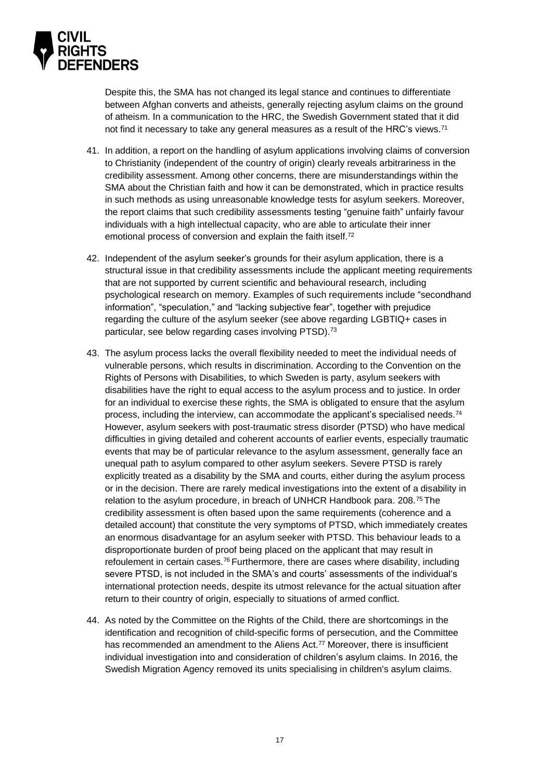

Despite this, the SMA has not changed its legal stance and continues to differentiate between Afghan converts and atheists, generally rejecting asylum claims on the ground of atheism. In a communication to the HRC, the Swedish Government stated that it did not find it necessary to take any general measures as a result of the HRC's views.<sup>71</sup>

- 41. In addition, a report on the handling of asylum applications involving claims of conversion to Christianity (independent of the country of origin) clearly reveals arbitrariness in the credibility assessment. Among other concerns, there are misunderstandings within the SMA about the Christian faith and how it can be demonstrated, which in practice results in such methods as using unreasonable knowledge tests for asylum seekers. Moreover, the report claims that such credibility assessments testing "genuine faith" unfairly favour individuals with a high intellectual capacity, who are able to articulate their inner emotional process of conversion and explain the faith itself.<sup>72</sup>
- 42. Independent of the asylum seeker's grounds for their asylum application, there is a structural issue in that credibility assessments include the applicant meeting requirements that are not supported by current scientific and behavioural research, including psychological research on memory. Examples of such requirements include "secondhand information", "speculation," and "lacking subjective fear", together with prejudice regarding the culture of the asylum seeker (see above regarding LGBTIQ+ cases in particular, see below regarding cases involving PTSD).<sup>73</sup>
- 43. The asylum process lacks the overall flexibility needed to meet the individual needs of vulnerable persons, which results in discrimination. According to the Convention on the Rights of Persons with Disabilities, to which Sweden is party, asylum seekers with disabilities have the right to equal access to the asylum process and to justice. In order for an individual to exercise these rights, the SMA is obligated to ensure that the asylum process, including the interview, can accommodate the applicant's specialised needs.<sup>74</sup> However, asylum seekers with post-traumatic stress disorder (PTSD) who have medical difficulties in giving detailed and coherent accounts of earlier events, especially traumatic events that may be of particular relevance to the asylum assessment, generally face an unequal path to asylum compared to other asylum seekers. Severe PTSD is rarely explicitly treated as a disability by the SMA and courts, either during the asylum process or in the decision. There are rarely medical investigations into the extent of a disability in relation to the asylum procedure, in breach of UNHCR Handbook para. 208.<sup>75</sup> The credibility assessment is often based upon the same requirements (coherence and a detailed account) that constitute the very symptoms of PTSD, which immediately creates an enormous disadvantage for an asylum seeker with PTSD. This behaviour leads to a disproportionate burden of proof being placed on the applicant that may result in refoulement in certain cases.<sup>76</sup> Furthermore, there are cases where disability, including severe PTSD, is not included in the SMA's and courts' assessments of the individual's international protection needs, despite its utmost relevance for the actual situation after return to their country of origin, especially to situations of armed conflict.
- 44. As noted by the Committee on the Rights of the Child, there are shortcomings in the identification and recognition of child-specific forms of persecution, and the Committee has recommended an amendment to the Aliens Act.<sup>77</sup> Moreover, there is insufficient individual investigation into and consideration of children's asylum claims. In 2016, the Swedish Migration Agency removed its units specialising in children's asylum claims.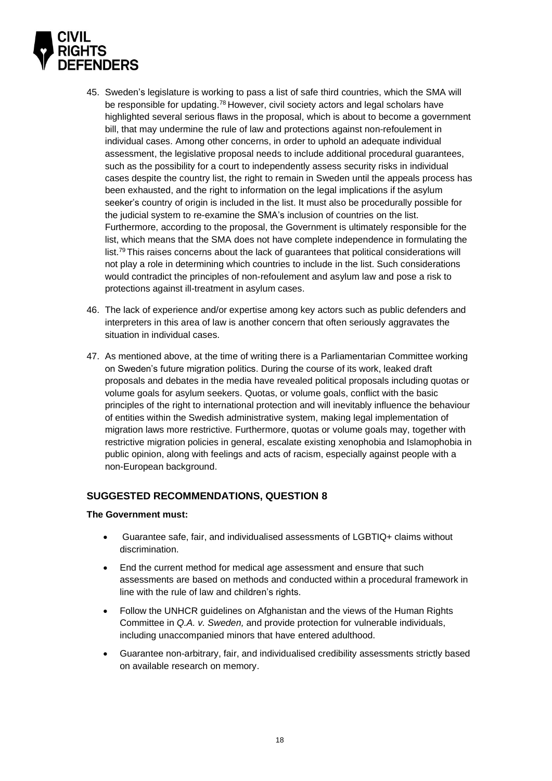

- 45. Sweden's legislature is working to pass a list of safe third countries, which the SMA will be responsible for updating.<sup>78</sup> However, civil society actors and legal scholars have highlighted several serious flaws in the proposal, which is about to become a government bill, that may undermine the rule of law and protections against non-refoulement in individual cases. Among other concerns, in order to uphold an adequate individual assessment, the legislative proposal needs to include additional procedural guarantees, such as the possibility for a court to independently assess security risks in individual cases despite the country list, the right to remain in Sweden until the appeals process has been exhausted, and the right to information on the legal implications if the asylum seeker's country of origin is included in the list. It must also be procedurally possible for the judicial system to re-examine the SMA's inclusion of countries on the list. Furthermore, according to the proposal, the Government is ultimately responsible for the list, which means that the SMA does not have complete independence in formulating the list.<sup>79</sup> This raises concerns about the lack of guarantees that political considerations will not play a role in determining which countries to include in the list. Such considerations would contradict the principles of non-refoulement and asylum law and pose a risk to protections against ill-treatment in asylum cases.
- 46. The lack of experience and/or expertise among key actors such as public defenders and interpreters in this area of law is another concern that often seriously aggravates the situation in individual cases.
- 47. As mentioned above, at the time of writing there is a Parliamentarian Committee working on Sweden's future migration politics. During the course of its work, leaked draft proposals and debates in the media have revealed political proposals including quotas or volume goals for asylum seekers. Quotas, or volume goals, conflict with the basic principles of the right to international protection and will inevitably influence the behaviour of entities within the Swedish administrative system, making legal implementation of migration laws more restrictive. Furthermore, quotas or volume goals may, together with restrictive migration policies in general, escalate existing xenophobia and Islamophobia in public opinion, along with feelings and acts of racism, especially against people with a non-European background.

### <span id="page-17-0"></span>**SUGGESTED RECOMMENDATIONS, QUESTION 8**

#### **The Government must:**

- Guarantee safe, fair, and individualised assessments of LGBTIQ+ claims without discrimination.
- End the current method for medical age assessment and ensure that such assessments are based on methods and conducted within a procedural framework in line with the rule of law and children's rights.
- Follow the UNHCR guidelines on Afghanistan and the views of the Human Rights Committee in *Q.A. v. Sweden,* and provide protection for vulnerable individuals, including unaccompanied minors that have entered adulthood.
- Guarantee non-arbitrary, fair, and individualised credibility assessments strictly based on available research on memory.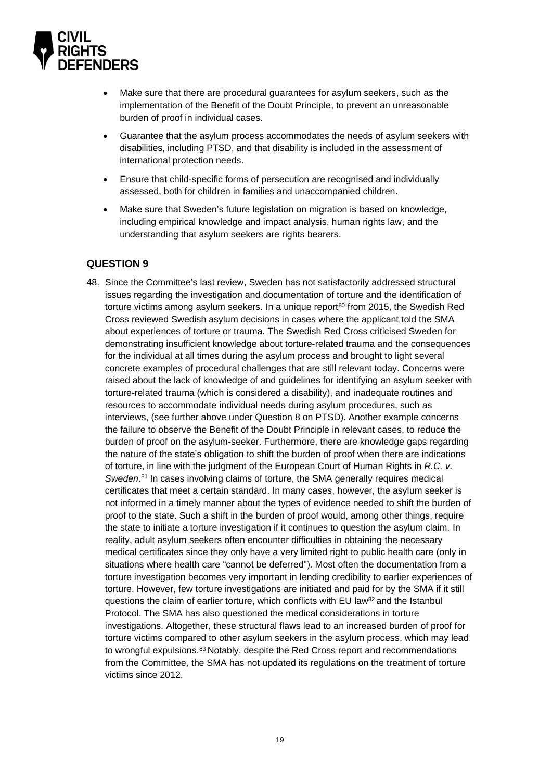

- Make sure that there are procedural guarantees for asylum seekers, such as the implementation of the Benefit of the Doubt Principle, to prevent an unreasonable burden of proof in individual cases.
- Guarantee that the asylum process accommodates the needs of asylum seekers with disabilities, including PTSD, and that disability is included in the assessment of international protection needs.
- Ensure that child-specific forms of persecution are recognised and individually assessed, both for children in families and unaccompanied children.
- Make sure that Sweden's future legislation on migration is based on knowledge, including empirical knowledge and impact analysis, human rights law, and the understanding that asylum seekers are rights bearers.

### <span id="page-18-0"></span>**QUESTION 9**

48. Since the Committee's last review, Sweden has not satisfactorily addressed structural issues regarding the investigation and documentation of torture and the identification of torture victims among asylum seekers. In a unique report<sup>80</sup> from 2015, the Swedish Red Cross reviewed Swedish asylum decisions in cases where the applicant told the SMA about experiences of torture or trauma. The Swedish Red Cross criticised Sweden for demonstrating insufficient knowledge about torture-related trauma and the consequences for the individual at all times during the asylum process and brought to light several concrete examples of procedural challenges that are still relevant today. Concerns were raised about the lack of knowledge of and guidelines for identifying an asylum seeker with torture-related trauma (which is considered a disability), and inadequate routines and resources to accommodate individual needs during asylum procedures, such as interviews, (see further above under Question 8 on PTSD). Another example concerns the failure to observe the Benefit of the Doubt Principle in relevant cases, to reduce the burden of proof on the asylum-seeker. Furthermore, there are knowledge gaps regarding the nature of the state's obligation to shift the burden of proof when there are indications of torture, in line with the judgment of the European Court of Human Rights in *R.C. v. Sweden*. <sup>81</sup> In cases involving claims of torture, the SMA generally requires medical certificates that meet a certain standard. In many cases, however, the asylum seeker is not informed in a timely manner about the types of evidence needed to shift the burden of proof to the state. Such a shift in the burden of proof would, among other things, require the state to initiate a torture investigation if it continues to question the asylum claim. In reality, adult asylum seekers often encounter difficulties in obtaining the necessary medical certificates since they only have a very limited right to public health care (only in situations where health care "cannot be deferred"). Most often the documentation from a torture investigation becomes very important in lending credibility to earlier experiences of torture. However, few torture investigations are initiated and paid for by the SMA if it still questions the claim of earlier torture, which conflicts with EU law<sup>82</sup> and the Istanbul Protocol. The SMA has also questioned the medical considerations in torture investigations. Altogether, these structural flaws lead to an increased burden of proof for torture victims compared to other asylum seekers in the asylum process, which may lead to wrongful expulsions.<sup>83</sup> Notably, despite the Red Cross report and recommendations from the Committee, the SMA has not updated its regulations on the treatment of torture victims since 2012.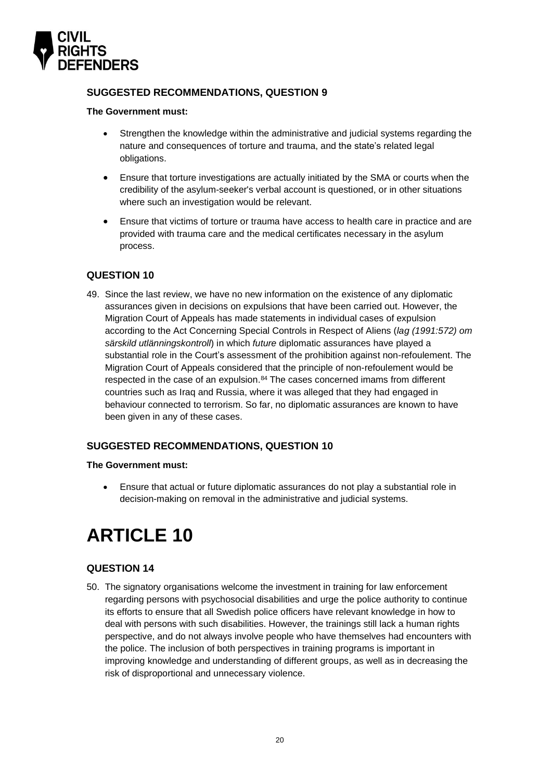

### <span id="page-19-0"></span>**SUGGESTED RECOMMENDATIONS, QUESTION 9**

#### **The Government must:**

- Strengthen the knowledge within the administrative and judicial systems regarding the nature and consequences of torture and trauma, and the state's related legal obligations.
- Ensure that torture investigations are actually initiated by the SMA or courts when the credibility of the asylum-seeker's verbal account is questioned, or in other situations where such an investigation would be relevant.
- Ensure that victims of torture or trauma have access to health care in practice and are provided with trauma care and the medical certificates necessary in the asylum process.

### <span id="page-19-1"></span>**QUESTION 10**

49. Since the last review, we have no new information on the existence of any diplomatic assurances given in decisions on expulsions that have been carried out. However, the Migration Court of Appeals has made statements in individual cases of expulsion according to the Act Concerning Special Controls in Respect of Aliens (*lag (1991:572) om särskild utlänningskontroll*) in which *future* diplomatic assurances have played a substantial role in the Court's assessment of the prohibition against non-refoulement. The Migration Court of Appeals considered that the principle of non-refoulement would be respected in the case of an expulsion.<sup>84</sup> The cases concerned imams from different countries such as Iraq and Russia, where it was alleged that they had engaged in behaviour connected to terrorism. So far, no diplomatic assurances are known to have been given in any of these cases.

### <span id="page-19-2"></span>**SUGGESTED RECOMMENDATIONS, QUESTION 10**

#### **The Government must:**

• Ensure that actual or future diplomatic assurances do not play a substantial role in decision-making on removal in the administrative and judicial systems.

# <span id="page-19-3"></span>**ARTICLE 10**

### <span id="page-19-4"></span>**QUESTION 14**

50. The signatory organisations welcome the investment in training for law enforcement regarding persons with psychosocial disabilities and urge the police authority to continue its efforts to ensure that all Swedish police officers have relevant knowledge in how to deal with persons with such disabilities. However, the trainings still lack a human rights perspective, and do not always involve people who have themselves had encounters with the police. The inclusion of both perspectives in training programs is important in improving knowledge and understanding of different groups, as well as in decreasing the risk of disproportional and unnecessary violence.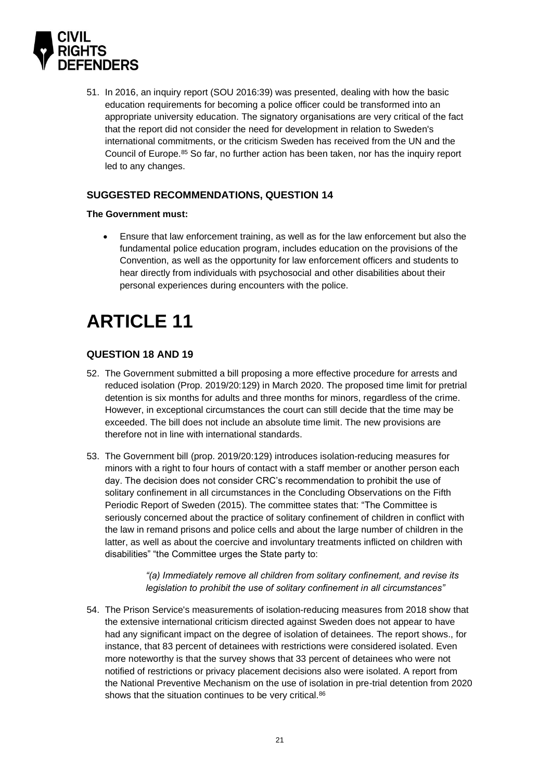

51. In 2016, an inquiry report (SOU 2016:39) was presented, dealing with how the basic education requirements for becoming a police officer could be transformed into an appropriate university education. The signatory organisations are very critical of the fact that the report did not consider the need for development in relation to Sweden's international commitments, or the criticism Sweden has received from the UN and the Council of Europe.<sup>85</sup> So far, no further action has been taken, nor has the inquiry report led to any changes.

### <span id="page-20-0"></span>**SUGGESTED RECOMMENDATIONS, QUESTION 14**

#### **The Government must:**

• Ensure that law enforcement training, as well as for the law enforcement but also the fundamental police education program, includes education on the provisions of the Convention, as well as the opportunity for law enforcement officers and students to hear directly from individuals with psychosocial and other disabilities about their personal experiences during encounters with the police.

# <span id="page-20-1"></span>**ARTICLE 11**

### <span id="page-20-2"></span>**QUESTION 18 AND 19**

- 52. The Government submitted a bill proposing a more effective procedure for arrests and reduced isolation (Prop. 2019/20:129) in March 2020. The proposed time limit for pretrial detention is six months for adults and three months for minors, regardless of the crime. However, in exceptional circumstances the court can still decide that the time may be exceeded. The bill does not include an absolute time limit. The new provisions are therefore not in line with international standards.
- 53. The Government bill (prop. 2019/20:129) introduces isolation-reducing measures for minors with a right to four hours of contact with a staff member or another person each day. The decision does not consider CRC's recommendation to prohibit the use of solitary confinement in all circumstances in the Concluding Observations on the Fifth Periodic Report of Sweden (2015). The committee states that: "The Committee is seriously concerned about the practice of solitary confinement of children in conflict with the law in remand prisons and police cells and about the large number of children in the latter, as well as about the coercive and involuntary treatments inflicted on children with disabilities" "the Committee urges the State party to:

*"(a) Immediately remove all children from solitary confinement, and revise its legislation to prohibit the use of solitary confinement in all circumstances"*

54. The Prison Service's measurements of isolation-reducing measures from 2018 show that the extensive international criticism directed against Sweden does not appear to have had any significant impact on the degree of isolation of detainees. The report shows., for instance, that 83 percent of detainees with restrictions were considered isolated. Even more noteworthy is that the survey shows that 33 percent of detainees who were not notified of restrictions or privacy placement decisions also were isolated. A report from the National Preventive Mechanism on the use of isolation in pre-trial detention from 2020 shows that the situation continues to be very critical.<sup>86</sup>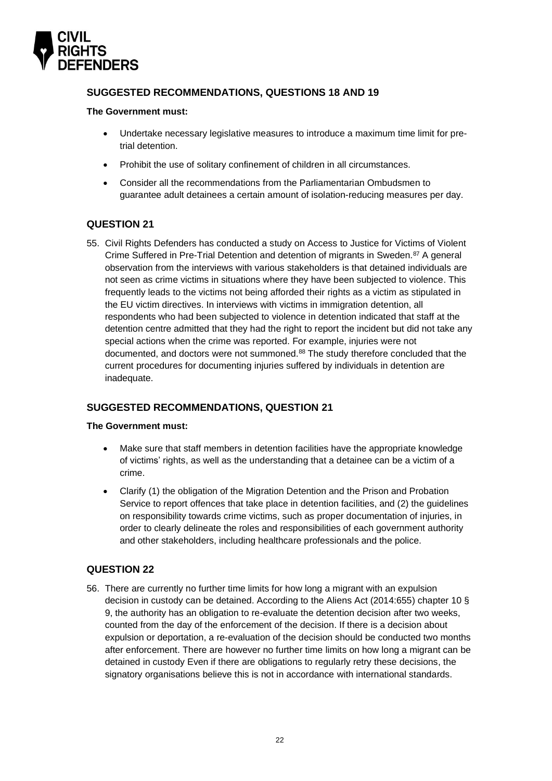

### <span id="page-21-0"></span>**SUGGESTED RECOMMENDATIONS, QUESTIONS 18 AND 19**

#### **The Government must:**

- Undertake necessary legislative measures to introduce a maximum time limit for pretrial detention.
- Prohibit the use of solitary confinement of children in all circumstances.
- Consider all the recommendations from the Parliamentarian Ombudsmen to guarantee adult detainees a certain amount of isolation-reducing measures per day.

### <span id="page-21-1"></span>**QUESTION 21**

55. Civil Rights Defenders has conducted a study on Access to Justice for Victims of Violent Crime Suffered in Pre-Trial Detention and detention of migrants in Sweden.<sup>87</sup> A general observation from the interviews with various stakeholders is that detained individuals are not seen as crime victims in situations where they have been subjected to violence. This frequently leads to the victims not being afforded their rights as a victim as stipulated in the EU victim directives. In interviews with victims in immigration detention, all respondents who had been subjected to violence in detention indicated that staff at the detention centre admitted that they had the right to report the incident but did not take any special actions when the crime was reported. For example, injuries were not documented, and doctors were not summoned.<sup>88</sup> The study therefore concluded that the current procedures for documenting injuries suffered by individuals in detention are inadequate.

### <span id="page-21-2"></span>**SUGGESTED RECOMMENDATIONS, QUESTION 21**

#### **The Government must:**

- Make sure that staff members in detention facilities have the appropriate knowledge of victims' rights, as well as the understanding that a detainee can be a victim of a crime.
- Clarify (1) the obligation of the Migration Detention and the Prison and Probation Service to report offences that take place in detention facilities, and (2) the guidelines on responsibility towards crime victims, such as proper documentation of injuries, in order to clearly delineate the roles and responsibilities of each government authority and other stakeholders, including healthcare professionals and the police.

### <span id="page-21-3"></span>**QUESTION 22**

56. There are currently no further time limits for how long a migrant with an expulsion decision in custody can be detained. According to the Aliens Act (2014:655) chapter 10 § 9, the authority has an obligation to re-evaluate the detention decision after two weeks, counted from the day of the enforcement of the decision. If there is a decision about expulsion or deportation, a re-evaluation of the decision should be conducted two months after enforcement. There are however no further time limits on how long a migrant can be detained in custody Even if there are obligations to regularly retry these decisions, the signatory organisations believe this is not in accordance with international standards.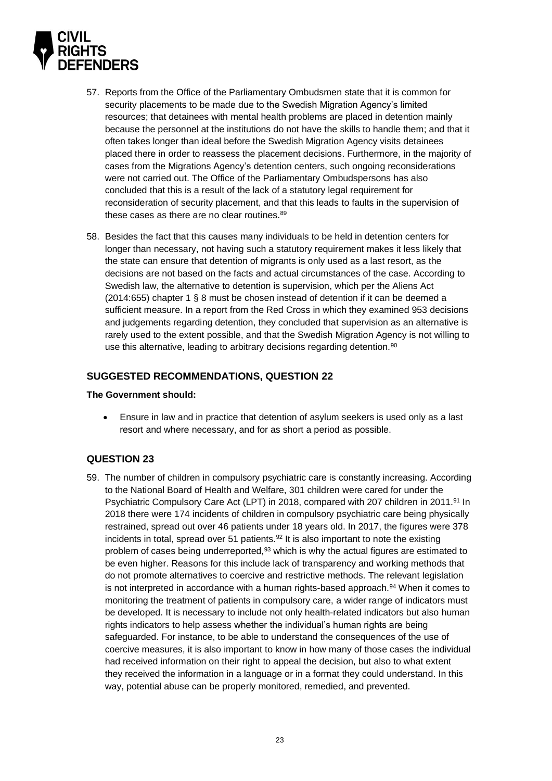

- 57. Reports from the Office of the Parliamentary Ombudsmen state that it is common for security placements to be made due to the Swedish Migration Agency's limited resources; that detainees with mental health problems are placed in detention mainly because the personnel at the institutions do not have the skills to handle them; and that it often takes longer than ideal before the Swedish Migration Agency visits detainees placed there in order to reassess the placement decisions. Furthermore, in the majority of cases from the Migrations Agency's detention centers, such ongoing reconsiderations were not carried out. The Office of the Parliamentary Ombudspersons has also concluded that this is a result of the lack of a statutory legal requirement for reconsideration of security placement, and that this leads to faults in the supervision of these cases as there are no clear routines.<sup>89</sup>
- 58. Besides the fact that this causes many individuals to be held in detention centers for longer than necessary, not having such a statutory requirement makes it less likely that the state can ensure that detention of migrants is only used as a last resort, as the decisions are not based on the facts and actual circumstances of the case. According to Swedish law, the alternative to detention is supervision, which per the Aliens Act (2014:655) chapter 1 § 8 must be chosen instead of detention if it can be deemed a sufficient measure. In a report from the Red Cross in which they examined 953 decisions and judgements regarding detention, they concluded that supervision as an alternative is rarely used to the extent possible, and that the Swedish Migration Agency is not willing to use this alternative, leading to arbitrary decisions regarding detention.<sup>90</sup>

#### <span id="page-22-0"></span>**SUGGESTED RECOMMENDATIONS, QUESTION 22**

#### **The Government should:**

• Ensure in law and in practice that detention of asylum seekers is used only as a last resort and where necessary, and for as short a period as possible.

### <span id="page-22-1"></span>**QUESTION 23**

59. The number of children in compulsory psychiatric care is constantly increasing. According to the National Board of Health and Welfare, 301 children were cared for under the Psychiatric Compulsory Care Act (LPT) in 2018, compared with 207 children in 2011.<sup>91</sup> In 2018 there were 174 incidents of children in compulsory psychiatric care being physically restrained, spread out over 46 patients under 18 years old. In 2017, the figures were 378 incidents in total, spread over 51 patients.  $92$  It is also important to note the existing problem of cases being underreported,<sup>93</sup> which is why the actual figures are estimated to be even higher. Reasons for this include lack of transparency and working methods that do not promote alternatives to coercive and restrictive methods. The relevant legislation is not interpreted in accordance with a human rights-based approach.<sup>94</sup> When it comes to monitoring the treatment of patients in compulsory care, a wider range of indicators must be developed. It is necessary to include not only health-related indicators but also human rights indicators to help assess whether the individual's human rights are being safeguarded. For instance, to be able to understand the consequences of the use of coercive measures, it is also important to know in how many of those cases the individual had received information on their right to appeal the decision, but also to what extent they received the information in a language or in a format they could understand. In this way, potential abuse can be properly monitored, remedied, and prevented.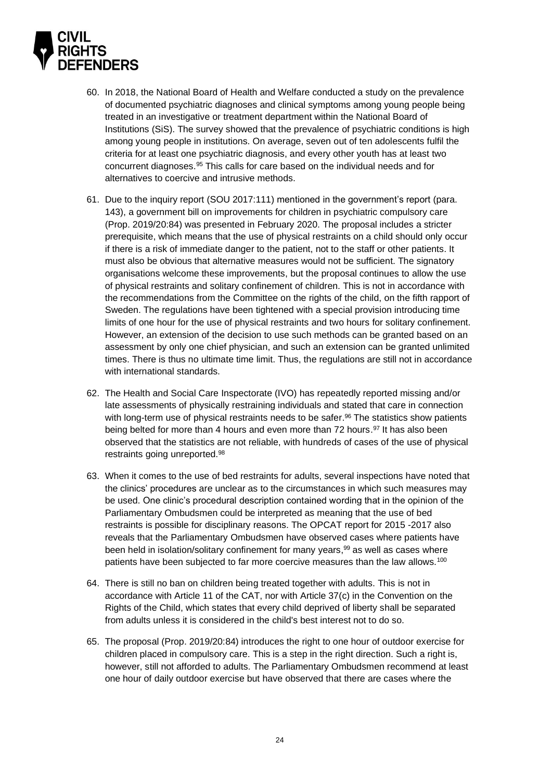

- 60. In 2018, the National Board of Health and Welfare conducted a study on the prevalence of documented psychiatric diagnoses and clinical symptoms among young people being treated in an investigative or treatment department within the National Board of Institutions (SiS). The survey showed that the prevalence of psychiatric conditions is high among young people in institutions. On average, seven out of ten adolescents fulfil the criteria for at least one psychiatric diagnosis, and every other youth has at least two concurrent diagnoses.<sup>95</sup> This calls for care based on the individual needs and for alternatives to coercive and intrusive methods.
- 61. Due to the inquiry report (SOU 2017:111) mentioned in the government's report (para. 143), a government bill on improvements for children in psychiatric compulsory care (Prop. 2019/20:84) was presented in February 2020. The proposal includes a stricter prerequisite, which means that the use of physical restraints on a child should only occur if there is a risk of immediate danger to the patient, not to the staff or other patients. It must also be obvious that alternative measures would not be sufficient. The signatory organisations welcome these improvements, but the proposal continues to allow the use of physical restraints and solitary confinement of children. This is not in accordance with the recommendations from the Committee on the rights of the child, on the fifth rapport of Sweden. The regulations have been tightened with a special provision introducing time limits of one hour for the use of physical restraints and two hours for solitary confinement. However, an extension of the decision to use such methods can be granted based on an assessment by only one chief physician, and such an extension can be granted unlimited times. There is thus no ultimate time limit. Thus, the regulations are still not in accordance with international standards.
- 62. The Health and Social Care Inspectorate (IVO) has repeatedly reported missing and/or late assessments of physically restraining individuals and stated that care in connection with long-term use of physical restraints needs to be safer.<sup>96</sup> The statistics show patients being belted for more than 4 hours and even more than 72 hours.<sup>97</sup> It has also been observed that the statistics are not reliable, with hundreds of cases of the use of physical restraints going unreported. 98
- 63. When it comes to the use of bed restraints for adults, several inspections have noted that the clinics' procedures are unclear as to the circumstances in which such measures may be used. One clinic's procedural description contained wording that in the opinion of the Parliamentary Ombudsmen could be interpreted as meaning that the use of bed restraints is possible for disciplinary reasons. The OPCAT report for 2015 -2017 also reveals that the Parliamentary Ombudsmen have observed cases where patients have been held in isolation/solitary confinement for many years, <sup>99</sup> as well as cases where patients have been subjected to far more coercive measures than the law allows.<sup>100</sup>
- 64. There is still no ban on children being treated together with adults. This is not in accordance with Article 11 of the CAT, nor with Article 37(c) in the Convention on the Rights of the Child, which states that every child deprived of liberty shall be separated from adults unless it is considered in the child's best interest not to do so.
- 65. The proposal (Prop. 2019/20:84) introduces the right to one hour of outdoor exercise for children placed in compulsory care. This is a step in the right direction. Such a right is, however, still not afforded to adults. The Parliamentary Ombudsmen recommend at least one hour of daily outdoor exercise but have observed that there are cases where the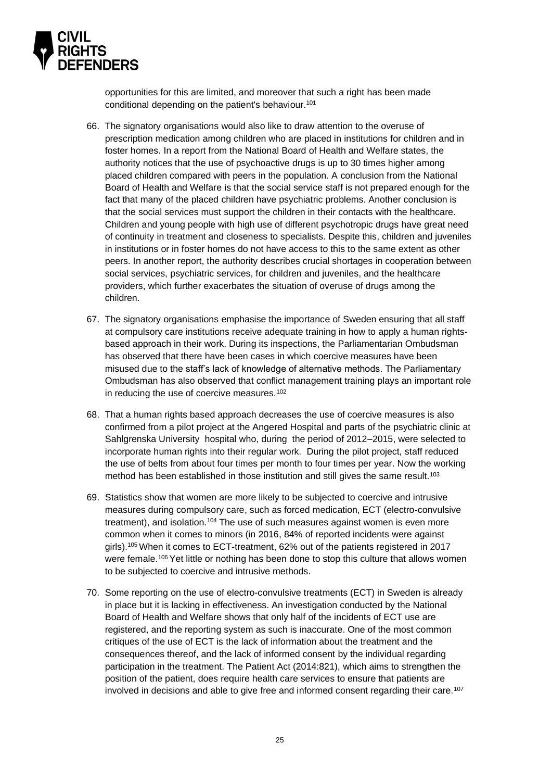

opportunities for this are limited, and moreover that such a right has been made conditional depending on the patient's behaviour. 101

- 66. The signatory organisations would also like to draw attention to the overuse of prescription medication among children who are placed in institutions for children and in foster homes. In a report from the National Board of Health and Welfare states, the authority notices that the use of psychoactive drugs is up to 30 times higher among placed children compared with peers in the population. A conclusion from the National Board of Health and Welfare is that the social service staff is not prepared enough for the fact that many of the placed children have psychiatric problems. Another conclusion is that the social services must support the children in their contacts with the healthcare. Children and young people with high use of different psychotropic drugs have great need of continuity in treatment and closeness to specialists. Despite this, children and juveniles in institutions or in foster homes do not have access to this to the same extent as other peers. In another report, the authority describes crucial shortages in cooperation between social services, psychiatric services, for children and juveniles, and the healthcare providers, which further exacerbates the situation of overuse of drugs among the children.
- 67. The signatory organisations emphasise the importance of Sweden ensuring that all staff at compulsory care institutions receive adequate training in how to apply a human rightsbased approach in their work. During its inspections, the Parliamentarian Ombudsman has observed that there have been cases in which coercive measures have been misused due to the staff's lack of knowledge of alternative methods. The Parliamentary Ombudsman has also observed that conflict management training plays an important role in reducing the use of coercive measures.<sup>102</sup>
- 68. That a human rights based approach decreases the use of coercive measures is also confirmed from a pilot project at the Angered Hospital and parts of the psychiatric clinic at Sahlgrenska University hospital who, during the period of 2012–2015, were selected to incorporate human rights into their regular work. During the pilot project, staff reduced the use of belts from about four times per month to four times per year. Now the working method has been established in those institution and still gives the same result.<sup>103</sup>
- 69. Statistics show that women are more likely to be subjected to coercive and intrusive measures during compulsory care, such as forced medication, ECT (electro-convulsive treatment), and isolation.<sup>104</sup> The use of such measures against women is even more common when it comes to minors (in 2016, 84% of reported incidents were against girls).<sup>105</sup> When it comes to ECT-treatment, 62% out of the patients registered in 2017 were female.<sup>106</sup> Yet little or nothing has been done to stop this culture that allows women to be subjected to coercive and intrusive methods.
- 70. Some reporting on the use of electro-convulsive treatments (ECT) in Sweden is already in place but it is lacking in effectiveness. An investigation conducted by the National Board of Health and Welfare shows that only half of the incidents of ECT use are registered, and the reporting system as such is inaccurate. One of the most common critiques of the use of ECT is the lack of information about the treatment and the consequences thereof, and the lack of informed consent by the individual regarding participation in the treatment. The Patient Act (2014:821), which aims to strengthen the position of the patient, does require health care services to ensure that patients are involved in decisions and able to give free and informed consent regarding their care.107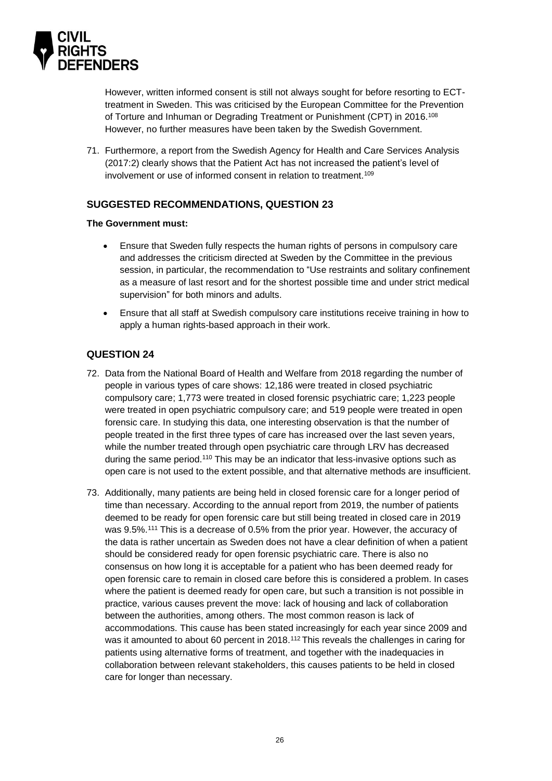

However, written informed consent is still not always sought for before resorting to ECTtreatment in Sweden. This was criticised by the European Committee for the Prevention of Torture and Inhuman or Degrading Treatment or Punishment (CPT) in 2016.<sup>108</sup> However, no further measures have been taken by the Swedish Government.

71. Furthermore, a report from the Swedish Agency for Health and Care Services Analysis (2017:2) clearly shows that the Patient Act has not increased the patient's level of involvement or use of informed consent in relation to treatment.<sup>109</sup>

### <span id="page-25-0"></span>**SUGGESTED RECOMMENDATIONS, QUESTION 23**

#### **The Government must:**

- Ensure that Sweden fully respects the human rights of persons in compulsory care and addresses the criticism directed at Sweden by the Committee in the previous session, in particular, the recommendation to "Use restraints and solitary confinement as a measure of last resort and for the shortest possible time and under strict medical supervision" for both minors and adults.
- Ensure that all staff at Swedish compulsory care institutions receive training in how to apply a human rights-based approach in their work.

### <span id="page-25-1"></span>**QUESTION 24**

- 72. Data from the National Board of Health and Welfare from 2018 regarding the number of people in various types of care shows: 12,186 were treated in closed psychiatric compulsory care; 1,773 were treated in closed forensic psychiatric care; 1,223 people were treated in open psychiatric compulsory care; and 519 people were treated in open forensic care. In studying this data, one interesting observation is that the number of people treated in the first three types of care has increased over the last seven years, while the number treated through open psychiatric care through LRV has decreased during the same period.<sup>110</sup> This may be an indicator that less-invasive options such as open care is not used to the extent possible, and that alternative methods are insufficient.
- 73. Additionally, many patients are being held in closed forensic care for a longer period of time than necessary. According to the annual report from 2019, the number of patients deemed to be ready for open forensic care but still being treated in closed care in 2019 was 9.5%.<sup>111</sup> This is a decrease of 0.5% from the prior year. However, the accuracy of the data is rather uncertain as Sweden does not have a clear definition of when a patient should be considered ready for open forensic psychiatric care. There is also no consensus on how long it is acceptable for a patient who has been deemed ready for open forensic care to remain in closed care before this is considered a problem. In cases where the patient is deemed ready for open care, but such a transition is not possible in practice, various causes prevent the move: lack of housing and lack of collaboration between the authorities, among others. The most common reason is lack of accommodations. This cause has been stated increasingly for each year since 2009 and was it amounted to about 60 percent in 2018.<sup>112</sup> This reveals the challenges in caring for patients using alternative forms of treatment, and together with the inadequacies in collaboration between relevant stakeholders, this causes patients to be held in closed care for longer than necessary.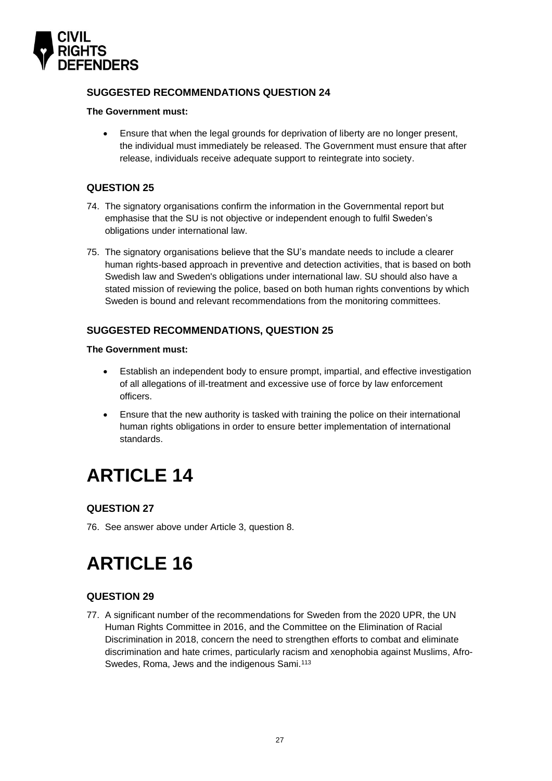

### <span id="page-26-0"></span>**SUGGESTED RECOMMENDATIONS QUESTION 24**

#### **The Government must:**

• Ensure that when the legal grounds for deprivation of liberty are no longer present, the individual must immediately be released. The Government must ensure that after release, individuals receive adequate support to reintegrate into society.

### <span id="page-26-1"></span>**QUESTION 25**

- 74. The signatory organisations confirm the information in the Governmental report but emphasise that the SU is not objective or independent enough to fulfil Sweden's obligations under international law.
- 75. The signatory organisations believe that the SU's mandate needs to include a clearer human rights-based approach in preventive and detection activities, that is based on both Swedish law and Sweden's obligations under international law. SU should also have a stated mission of reviewing the police, based on both human rights conventions by which Sweden is bound and relevant recommendations from the monitoring committees.

### <span id="page-26-2"></span>**SUGGESTED RECOMMENDATIONS, QUESTION 25**

#### **The Government must:**

- Establish an independent body to ensure prompt, impartial, and effective investigation of all allegations of ill-treatment and excessive use of force by law enforcement officers.
- Ensure that the new authority is tasked with training the police on their international human rights obligations in order to ensure better implementation of international standards.

# <span id="page-26-3"></span>**ARTICLE 14**

### <span id="page-26-4"></span>**QUESTION 27**

76. See answer above under Article 3, question 8.

# <span id="page-26-5"></span>**ARTICLE 16**

# <span id="page-26-6"></span>**QUESTION 29**

77. A significant number of the recommendations for Sweden from the 2020 UPR, the UN Human Rights Committee in 2016, and the Committee on the Elimination of Racial Discrimination in 2018, concern the need to strengthen efforts to combat and eliminate discrimination and hate crimes, particularly racism and xenophobia against Muslims, Afro-Swedes, Roma, Jews and the indigenous Sami.<sup>113</sup>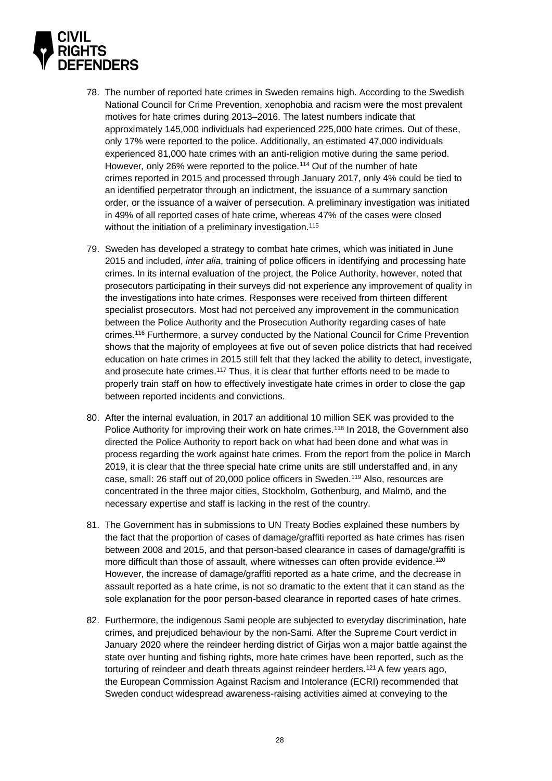

- 78. The number of reported hate crimes in Sweden remains high. According to the Swedish National Council for Crime Prevention, xenophobia and racism were the most prevalent motives for hate crimes during 2013–2016. The latest numbers indicate that approximately 145,000 individuals had experienced 225,000 hate crimes. Out of these, only 17% were reported to the police. Additionally, an estimated 47,000 individuals experienced 81,000 hate crimes with an anti-religion motive during the same period. However, only 26% were reported to the police.<sup>114</sup> Out of the number of hate crimes reported in 2015 and processed through January 2017, only 4% could be tied to an identified perpetrator through an indictment, the issuance of a summary sanction order, or the issuance of a waiver of persecution. A preliminary investigation was initiated in 49% of all reported cases of hate crime, whereas 47% of the cases were closed without the initiation of a preliminary investigation.<sup>115</sup>
- 79. Sweden has developed a strategy to combat hate crimes, which was initiated in June 2015 and included, *inter alia*, training of police officers in identifying and processing hate crimes. In its internal evaluation of the project, the Police Authority, however, noted that prosecutors participating in their surveys did not experience any improvement of quality in the investigations into hate crimes. Responses were received from thirteen different specialist prosecutors. Most had not perceived any improvement in the communication between the Police Authority and the Prosecution Authority regarding cases of hate crimes. <sup>116</sup> Furthermore, a survey conducted by the National Council for Crime Prevention shows that the majority of employees at five out of seven police districts that had received education on hate crimes in 2015 still felt that they lacked the ability to detect, investigate, and prosecute hate crimes.<sup>117</sup> Thus, it is clear that further efforts need to be made to properly train staff on how to effectively investigate hate crimes in order to close the gap between reported incidents and convictions.
- 80. After the internal evaluation, in 2017 an additional 10 million SEK was provided to the Police Authority for improving their work on hate crimes.<sup>118</sup> In 2018, the Government also directed the Police Authority to report back on what had been done and what was in process regarding the work against hate crimes. From the report from the police in March 2019, it is clear that the three special hate crime units are still understaffed and, in any case, small: 26 staff out of 20,000 police officers in Sweden.<sup>119</sup> Also, resources are concentrated in the three major cities, Stockholm, Gothenburg, and Malmö, and the necessary expertise and staff is lacking in the rest of the country.
- 81. The Government has in submissions to UN Treaty Bodies explained these numbers by the fact that the proportion of cases of damage/graffiti reported as hate crimes has risen between 2008 and 2015, and that person-based clearance in cases of damage/graffiti is more difficult than those of assault, where witnesses can often provide evidence.<sup>120</sup> However, the increase of damage/graffiti reported as a hate crime, and the decrease in assault reported as a hate crime, is not so dramatic to the extent that it can stand as the sole explanation for the poor person-based clearance in reported cases of hate crimes.
- 82. Furthermore, the indigenous Sami people are subjected to everyday discrimination, hate crimes, and prejudiced behaviour by the non-Sami. After the Supreme Court verdict in January 2020 where the reindeer herding district of Girjas won a major battle against the state over hunting and fishing rights, more hate crimes have been reported, such as the torturing of reindeer and death threats against reindeer herders.<sup>121</sup> A few years ago, the European Commission Against Racism and Intolerance (ECRI) recommended that Sweden conduct widespread awareness-raising activities aimed at conveying to the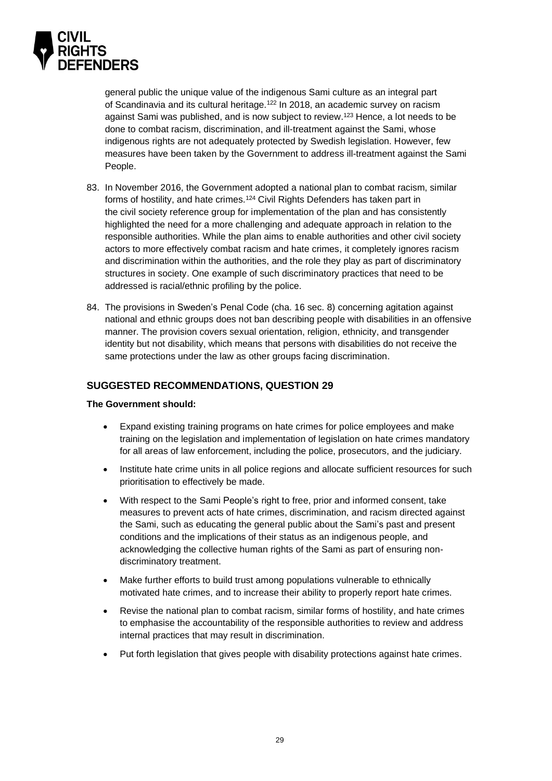

general public the unique value of the indigenous Sami culture as an integral part of Scandinavia and its cultural heritage.<sup>122</sup> In 2018, an academic survey on racism against Sami was published, and is now subject to review.<sup>123</sup> Hence, a lot needs to be done to combat racism, discrimination, and ill-treatment against the Sami, whose indigenous rights are not adequately protected by Swedish legislation. However, few measures have been taken by the Government to address ill-treatment against the Sami People.

- 83. In November 2016, the Government adopted a national plan to combat racism, similar forms of hostility, and hate crimes. <sup>124</sup> Civil Rights Defenders has taken part in the civil society reference group for implementation of the plan and has consistently highlighted the need for a more challenging and adequate approach in relation to the responsible authorities. While the plan aims to enable authorities and other civil society actors to more effectively combat racism and hate crimes, it completely ignores racism and discrimination within the authorities, and the role they play as part of discriminatory structures in society. One example of such discriminatory practices that need to be addressed is racial/ethnic profiling by the police.
- 84. The provisions in Sweden's Penal Code (cha. 16 sec. 8) concerning agitation against national and ethnic groups does not ban describing people with disabilities in an offensive manner. The provision covers sexual orientation, religion, ethnicity, and transgender identity but not disability, which means that persons with disabilities do not receive the same protections under the law as other groups facing discrimination.

### <span id="page-28-0"></span>**SUGGESTED RECOMMENDATIONS, QUESTION 29**

#### **The Government should:**

- Expand existing training programs on hate crimes for police employees and make training on the legislation and implementation of legislation on hate crimes mandatory for all areas of law enforcement, including the police, prosecutors, and the judiciary.
- Institute hate crime units in all police regions and allocate sufficient resources for such prioritisation to effectively be made.
- With respect to the Sami People's right to free, prior and informed consent, take measures to prevent acts of hate crimes, discrimination, and racism directed against the Sami, such as educating the general public about the Sami's past and present conditions and the implications of their status as an indigenous people, and acknowledging the collective human rights of the Sami as part of ensuring nondiscriminatory treatment.
- Make further efforts to build trust among populations vulnerable to ethnically motivated hate crimes, and to increase their ability to properly report hate crimes.
- Revise the national plan to combat racism, similar forms of hostility, and hate crimes to emphasise the accountability of the responsible authorities to review and address internal practices that may result in discrimination.
- Put forth legislation that gives people with disability protections against hate crimes.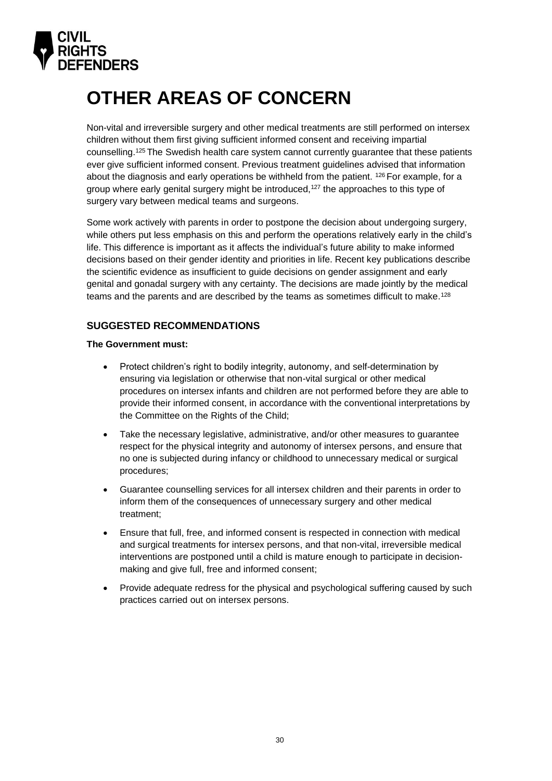

# <span id="page-29-0"></span>**OTHER AREAS OF CONCERN**

Non-vital and irreversible surgery and other medical treatments are still performed on intersex children without them first giving sufficient informed consent and receiving impartial counselling.<sup>125</sup> The Swedish health care system cannot currently guarantee that these patients ever give sufficient informed consent. Previous treatment guidelines advised that information about the diagnosis and early operations be withheld from the patient. <sup>126</sup> For example, for a group where early genital surgery might be introduced, <sup>127</sup> the approaches to this type of surgery vary between medical teams and surgeons.

Some work actively with parents in order to postpone the decision about undergoing surgery, while others put less emphasis on this and perform the operations relatively early in the child's life. This difference is important as it affects the individual's future ability to make informed decisions based on their gender identity and priorities in life. Recent key publications describe the scientific evidence as insufficient to guide decisions on gender assignment and early genital and gonadal surgery with any certainty. The decisions are made jointly by the medical teams and the parents and are described by the teams as sometimes difficult to make.<sup>128</sup>

### <span id="page-29-1"></span>**SUGGESTED RECOMMENDATIONS**

#### **The Government must:**

- Protect children's right to bodily integrity, autonomy, and self-determination by ensuring via legislation or otherwise that non-vital surgical or other medical procedures on intersex infants and children are not performed before they are able to provide their informed consent, in accordance with the conventional interpretations by the Committee on the Rights of the Child;
- Take the necessary legislative, administrative, and/or other measures to guarantee respect for the physical integrity and autonomy of intersex persons, and ensure that no one is subjected during infancy or childhood to unnecessary medical or surgical procedures;
- Guarantee counselling services for all intersex children and their parents in order to inform them of the consequences of unnecessary surgery and other medical treatment;
- Ensure that full, free, and informed consent is respected in connection with medical and surgical treatments for intersex persons, and that non-vital, irreversible medical interventions are postponed until a child is mature enough to participate in decisionmaking and give full, free and informed consent;
- Provide adequate redress for the physical and psychological suffering caused by such practices carried out on intersex persons.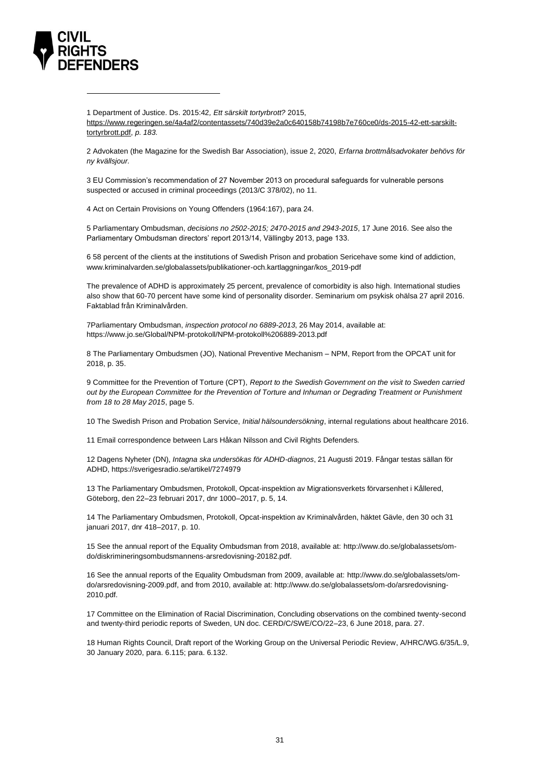

1 Department of Justice. Ds. 2015:42*, Ett särskilt tortyrbrott?* 2015, [https://www.regeringen.se/4a4af2/contentassets/740d39e2a0c640158b74198b7e760ce0/ds-2015-42-ett-sarskilt](https://www.regeringen.se/4a4af2/contentassets/740d39e2a0c640158b74198b7e760ce0/ds-2015-42-ett-sarskilt-tortyrbrott.pdf)[tortyrbrott.pdf,](https://www.regeringen.se/4a4af2/contentassets/740d39e2a0c640158b74198b7e760ce0/ds-2015-42-ett-sarskilt-tortyrbrott.pdf) *p. 183.*

2 Advokaten (the Magazine for the Swedish Bar Association), issue 2, 2020, *Erfarna brottmålsadvokater behövs för ny kvällsjour.*

3 EU Commission's recommendation of 27 November 2013 on procedural safeguards for vulnerable persons suspected or accused in criminal proceedings (2013/C 378/02), no 11.

4 Act on Certain Provisions on Young Offenders (1964:167), para 24.

5 Parliamentary Ombudsman, *decisions no 2502-2015; 2470-2015 and 2943-2015*, 17 June 2016. See also the Parliamentary Ombudsman directors' report 2013/14, Vällingby 2013, page 133.

6 58 percent of the clients at the institutions of Swedish Prison and probation Sericehave some kind of addiction, [www.kriminalvarden.se/globalassets/publikationer-och.kartlaggningar/kos\\_2019-pdf](http://www.kriminalvarden.se/globalassets/publikationer-och.kartlaggningar/kos_2019-pdf)

The prevalence of ADHD is approximately 25 percent, prevalence of comorbidity is also high. International studies also show that 60-70 percent have some kind of personality disorder. Seminarium om psykisk ohälsa 27 april 2016. Faktablad från Kriminalvården.

7Parliamentary Ombudsman, *inspection protocol no 6889-2013*, 26 May 2014, available at: <https://www.jo.se/Global/NPM-protokoll/NPM-protokoll%206889-2013.pdf>

8 The Parliamentary Ombudsmen (JO), National Preventive Mechanism – NPM, Report from the OPCAT unit for 2018, p. 35.

9 Committee for the Prevention of Torture (CPT), *Report to the Swedish Government on the visit to Sweden carried out by the European Committee for the Prevention of Torture and Inhuman or Degrading Treatment or Punishment from 18 to 28 May 2015*, page 5.

10 The Swedish Prison and Probation Service, *Initial hälsoundersökning*, internal regulations about healthcare 2016.

11 Email correspondence between Lars Håkan Nilsson and Civil Rights Defenders.

12 Dagens Nyheter (DN), *Intagna ska undersökas för ADHD-diagnos*, 21 Augusti 2019. Fångar testas sällan för ADHD, https://sverigesradio.se/artikel/7274979

13 The Parliamentary Ombudsmen, Protokoll, Opcat-inspektion av Migrationsverkets förvarsenhet i Kållered, Göteborg, den 22–23 februari 2017, dnr 1000–2017, p. 5, 14.

14 The Parliamentary Ombudsmen, Protokoll, Opcat-inspektion av Kriminalvården, häktet Gävle, den 30 och 31 januari 2017, dnr 418–2017, p. 10.

15 See the annual report of the Equality Ombudsman from 2018, available at: [http://www.do.se/globalassets/om](http://www.do.se/globalassets/om-do/diskrimineringsombudsmannens-arsredovisning-20182.pdf)[do/diskrimineringsombudsmannens-arsredovisning-20182.pdf.](http://www.do.se/globalassets/om-do/diskrimineringsombudsmannens-arsredovisning-20182.pdf)

16 See the annual reports of the Equality Ombudsman from 2009, available at: [http://www.do.se/globalassets/om](http://www.do.se/globalassets/om-do/arsredovisning-2009.pdf)[do/arsredovisning-2009.pdf,](http://www.do.se/globalassets/om-do/arsredovisning-2009.pdf) and from 2010, available at: [http://www.do.se/globalassets/om-do/arsredovisning-](http://www.do.se/globalassets/om-do/arsredovisning-2010.pdf)[2010.pdf.](http://www.do.se/globalassets/om-do/arsredovisning-2010.pdf)

17 Committee on the Elimination of Racial Discrimination, Concluding observations on the combined twenty-second and twenty-third periodic reports of Sweden, UN doc. CERD/C/SWE/CO/22–23, 6 June 2018, para. 27.

18 Human Rights Council, Draft report of the Working Group on the Universal Periodic Review, A/HRC/WG.6/35/L.9, 30 January 2020, para. 6.115; para. 6.132.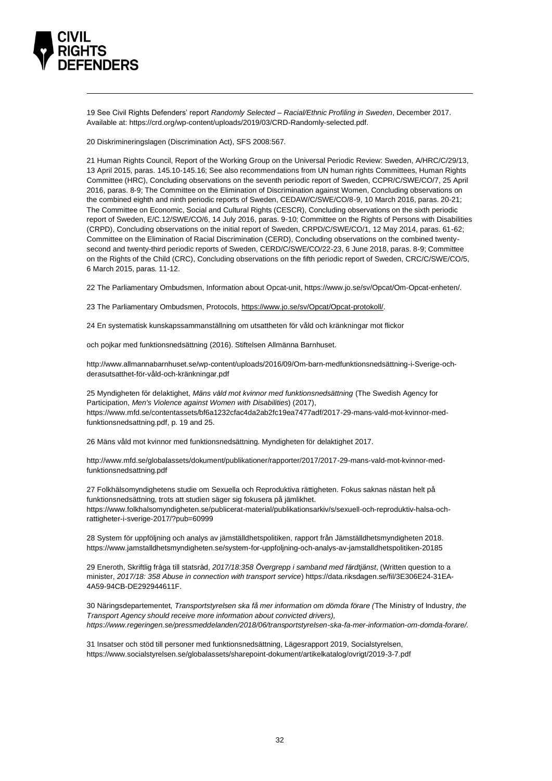

19 See Civil Rights Defenders' report *Randomly Selected – Racial/Ethnic Profiling in Sweden*, December 2017. Available at[: https://crd.org/wp-content/uploads/2019/03/CRD-Randomly-selected.pdf.](https://crd.org/wp-content/uploads/2019/03/CRD-Randomly-selected.pdf)

20 Diskrimineringslagen (Discrimination Act), SFS 2008:567.

21 Human Rights Council, Report of the Working Group on the Universal Periodic Review: Sweden, A/HRC/C/29/13, 13 April 2015, paras. 145.10-145.16; See also recommendations from UN human rights Committees, Human Rights Committee (HRC), Concluding observations on the seventh periodic report of Sweden, CCPR/C/SWE/CO/7, 25 April 2016, paras. 8-9; The Committee on the Elimination of Discrimination against Women, Concluding observations on the combined eighth and ninth periodic reports of Sweden, CEDAW/C/SWE/CO/8-9, 10 March 2016, paras. 20-21; The Committee on Economic, Social and Cultural Rights (CESCR), Concluding observations on the sixth periodic report of Sweden, E/C.12/SWE/CO/6, 14 July 2016, paras. 9-10; Committee on the Rights of Persons with Disabilities (CRPD), Concluding observations on the initial report of Sweden, CRPD/C/SWE/CO/1, 12 May 2014, paras. 61-62; Committee on the Elimination of Racial Discrimination (CERD), Concluding observations on the combined twentysecond and twenty-third periodic reports of Sweden, CERD/C/SWE/CO/22-23, 6 June 2018, paras. 8-9; Committee on the Rights of the Child (CRC), Concluding observations on the fifth periodic report of Sweden, CRC/C/SWE/CO/5, 6 March 2015, paras. 11-12.

22 The Parliamentary Ombudsmen, Information about Opcat-unit, [https://www.jo.se/sv/Opcat/Om-Opcat-enheten/.](https://www.jo.se/sv/Opcat/Om-Opcat-enheten/)

23 The Parliamentary Ombudsmen, Protocols, [https://www.jo.se/sv/Opcat/Opcat-protokoll/.](https://www.jo.se/sv/Opcat/Opcat-protokoll/)

24 En systematisk kunskapssammanställning om utsattheten för våld och kränkningar mot flickor

och pojkar med funktionsnedsättning (2016). Stiftelsen Allmänna Barnhuset.

http://www.allmannabarnhuset.se/wp-content/uploads/2016/09/Om-barn-medfunktionsnedsättning-i-Sverige-ochderasutsatthet-för-våld-och-kränkningar.pdf

25 Myndigheten för delaktighet, *Mäns våld mot kvinnor med funktionsnedsättning* (The Swedish Agency for Participation, *Men's Violence against Women with Disabilities*) (2017), [https://www.mfd.se/contentassets/bf6a1232cfac4da2ab2fc19ea7477adf/2017-29-mans-vald-mot-kvinnor-med](https://www.mfd.se/contentassets/bf6a1232cfac4da2ab2fc19ea7477adf/2017-29-mans-vald-mot-kvinnor-med-funktionsnedsattning.pdf)[funktionsnedsattning.pdf,](https://www.mfd.se/contentassets/bf6a1232cfac4da2ab2fc19ea7477adf/2017-29-mans-vald-mot-kvinnor-med-funktionsnedsattning.pdf) p. 19 and 25.

26 Mäns våld mot kvinnor med funktionsnedsättning. Myndigheten för delaktighet 2017.

http://www.mfd.se/globalassets/dokument/publikationer/rapporter/2017/2017-29-mans-vald-mot-kvinnor-medfunktionsnedsattning.pdf

27 Folkhälsomyndighetens studie om Sexuella och Reproduktiva rättigheten. Fokus saknas nästan helt på funktionsnedsättning, trots att studien säger sig fokusera på jämlikhet. https://www.folkhalsomyndigheten.se/publicerat-material/publikationsarkiv/s/sexuell-och-reproduktiv-halsa-ochrattigheter-i-sverige-2017/?pub=60999

28 System för uppföljning och analys av jämställdhetspolitiken, rapport från Jämställdhetsmyndigheten 2018. https://www.jamstalldhetsmyndigheten.se/system-for-uppfoljning-och-analys-av-jamstalldhetspolitiken-20185

29 Eneroth, Skriftlig fråga till statsråd, *2017/18:358 Övergrepp i samband med färdtjänst*, (Written question to a minister, *2017/18: 358 Abuse in connection with transport service*[\) https://data.riksdagen.se/fil/3E306E24-31EA-](https://data.riksdagen.se/fil/3E306E24-31EA-4A59-94CB-DE292944611F)[4A59-94CB-DE292944611F.](https://data.riksdagen.se/fil/3E306E24-31EA-4A59-94CB-DE292944611F)

30 Näringsdepartementet, *Transportstyrelsen ska få mer information om dömda förare (*The Ministry of Industry, *the Transport Agency should receive more information about convicted drivers), [https://www.regeringen.se/pressmeddelanden/2018/06/transportstyrelsen-ska-fa-mer-information-om-domda-forare/.](https://www.regeringen.se/pressmeddelanden/2018/06/transportstyrelsen-ska-fa-mer-information-om-domda-forare/)*

31 Insatser och stöd till personer med funktionsnedsättning, Lägesrapport 2019, Socialstyrelsen, <https://www.socialstyrelsen.se/globalassets/sharepoint-dokument/artikelkatalog/ovrigt/2019-3-7.pdf>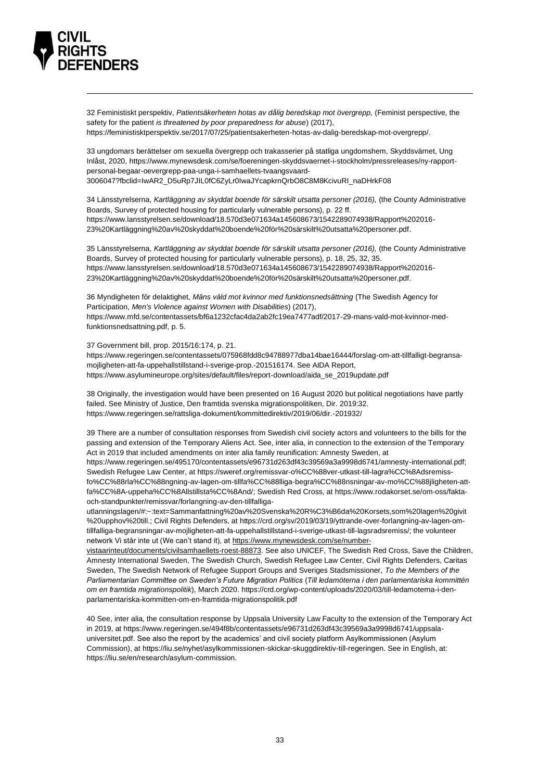

32 Feministiskt perspektiv, *Patientsäkerheten hotas av dålig beredskap mot övergrepp,* (Feminist perspective, the safety for the patient *is threatened by poor preparedness for abuse*) (2017), [https://feministisktperspektiv.se/2017/07/25/patientsakerheten-hotas-av-dalig-beredskap-mot-overgrepp/.](https://feministisktperspektiv.se/2017/07/25/patientsakerheten-hotas-av-dalig-beredskap-mot-overgrepp/)

33 ungdomars berättelser om sexuella övergrepp och trakasserier på statliga ungdomshem, Skyddsvärnet, Ung Inlåst, 2020[, https://www.mynewsdesk.com/se/foereningen-skyddsvaernet-i-stockholm/pressreleases/ny-rapport](https://www.mynewsdesk.com/se/foereningen-skyddsvaernet-i-stockholm/pressreleases/ny-rapport-personal-begaar-oevergrepp-paa-unga-i-samhaellets-tvaangsvaard-3006047?fbclid=IwAR2_D5uRp7JIL0fC6ZyLr0IwaJYcapkrnQrbO8C8M8KcivuRI_naDHrkF08)[personal-begaar-oevergrepp-paa-unga-i-samhaellets-tvaangsvaard-](https://www.mynewsdesk.com/se/foereningen-skyddsvaernet-i-stockholm/pressreleases/ny-rapport-personal-begaar-oevergrepp-paa-unga-i-samhaellets-tvaangsvaard-3006047?fbclid=IwAR2_D5uRp7JIL0fC6ZyLr0IwaJYcapkrnQrbO8C8M8KcivuRI_naDHrkF08)[3006047?fbclid=IwAR2\\_D5uRp7JIL0fC6ZyLr0IwaJYcapkrnQrbO8C8M8KcivuRI\\_naDHrkF08](https://www.mynewsdesk.com/se/foereningen-skyddsvaernet-i-stockholm/pressreleases/ny-rapport-personal-begaar-oevergrepp-paa-unga-i-samhaellets-tvaangsvaard-3006047?fbclid=IwAR2_D5uRp7JIL0fC6ZyLr0IwaJYcapkrnQrbO8C8M8KcivuRI_naDHrkF08)

34 Länsstyrelserna, *Kartläggning av skyddat boende för särskilt utsatta personer (2016),* (the County Administrative Boards, Survey of protected housing for particularly vulnerable persons), p. 22 ff. [https://www.lansstyrelsen.se/download/18.570d3e071634a145608673/1542289074938/Rapport%202016-](https://www.lansstyrelsen.se/download/18.570d3e071634a145608673/1542289074938/Rapport%202016-23%20Kartläggning%20av%20skyddat%20boende%20för%20särskilt%20utsatta%20personer.pdf) [23%20Kartläggning%20av%20skyddat%20boende%20för%20särskilt%20utsatta%20personer.pdf.](https://www.lansstyrelsen.se/download/18.570d3e071634a145608673/1542289074938/Rapport%202016-23%20Kartläggning%20av%20skyddat%20boende%20för%20särskilt%20utsatta%20personer.pdf) 

35 Länsstyrelserna, *Kartläggning av skyddat boende för särskilt utsatta personer (2016),* (the County Administrative Boards, Survey of protected housing for particularly vulnerable persons), p. 18, 25, 32, 35. [https://www.lansstyrelsen.se/download/18.570d3e071634a145608673/1542289074938/Rapport%202016-](https://www.lansstyrelsen.se/download/18.570d3e071634a145608673/1542289074938/Rapport%202016-23%20Kartläggning%20av%20skyddat%20boende%20för%20särskilt%20utsatta%20personer.pdf) [23%20Kartläggning%20av%20skyddat%20boende%20för%20särskilt%20utsatta%20personer.pdf.](https://www.lansstyrelsen.se/download/18.570d3e071634a145608673/1542289074938/Rapport%202016-23%20Kartläggning%20av%20skyddat%20boende%20för%20särskilt%20utsatta%20personer.pdf)

36 Myndigheten för delaktighet, *Mäns våld mot kvinnor med funktionsnedsättning* (The Swedish Agency for Participation, *Men's Violence against Women with Disabilities*) (2017), [https://www.mfd.se/contentassets/bf6a1232cfac4da2ab2fc19ea7477adf/2017-29-mans-vald-mot-kvinnor-med](https://www.mfd.se/contentassets/bf6a1232cfac4da2ab2fc19ea7477adf/2017-29-mans-vald-mot-kvinnor-med-funktionsnedsattning.pdf)[funktionsnedsattning.pdf,](https://www.mfd.se/contentassets/bf6a1232cfac4da2ab2fc19ea7477adf/2017-29-mans-vald-mot-kvinnor-med-funktionsnedsattning.pdf) p. 5.

37 Government bill, prop. 2015/16:174, p. 21.

[https://www.regeringen.se/contentassets/075968fdd8c94788977dba14bae16444/forslag-om-att-tillfalligt-begransa](https://www.regeringen.se/contentassets/075968fdd8c94788977dba14bae16444/forslag-om-att-tillfalligt-begransa-mojligheten-att-fa-uppehallstillstand-i-sverige-prop.-201516174)[mojligheten-att-fa-uppehallstillstand-i-sverige-prop.-201516174.](https://www.regeringen.se/contentassets/075968fdd8c94788977dba14bae16444/forslag-om-att-tillfalligt-begransa-mojligheten-att-fa-uppehallstillstand-i-sverige-prop.-201516174) See AIDA Report, [https://www.asylumineurope.org/sites/default/files/report-download/aida\\_se\\_2019update.pdf](https://www.asylumineurope.org/sites/default/files/report-download/aida_se_2019update.pdf)

38 Originally, the investigation would have been presented on 16 August 2020 but political negotiations have partly failed. See Ministry of Justice, Den framtida svenska migrationspolitiken, Dir. 2019:32. <https://www.regeringen.se/rattsliga-dokument/kommittedirektiv/2019/06/dir.-201932/>

39 There are a number of consultation responses from Swedish civil society actors and volunteers to the bills for the passing and extension of the Temporary Aliens Act. See, inter alia, in connection to the extension of the Temporary Act in 2019 that included amendments on inter alia family reunification: Amnesty Sweden, at

[https://www.regeringen.se/495170/contentassets/e96731d263df43c39569a3a9998d6741/amnesty-international.pdf;](https://www.regeringen.se/495170/contentassets/e96731d263df43c39569a3a9998d6741/amnesty-international.pdf) Swedish Refugee Law Center, a[t https://sweref.org/remissvar-o%CC%88ver-utkast-till-lagra%CC%8Adsremiss](https://sweref.org/remissvar-o%CC%88ver-utkast-till-lagra%CC%8Adsremiss-fo%CC%88rla%CC%88ngning-av-lagen-om-tillfa%CC%88lliga-begra%CC%88nsningar-av-mo%CC%88jligheten-att-fa%CC%8A-uppeha%CC%8Allstillsta%CC%8And/)[fo%CC%88rla%CC%88ngning-av-lagen-om-tillfa%CC%88lliga-begra%CC%88nsningar-av-mo%CC%88jligheten-att](https://sweref.org/remissvar-o%CC%88ver-utkast-till-lagra%CC%8Adsremiss-fo%CC%88rla%CC%88ngning-av-lagen-om-tillfa%CC%88lliga-begra%CC%88nsningar-av-mo%CC%88jligheten-att-fa%CC%8A-uppeha%CC%8Allstillsta%CC%8And/)[fa%CC%8A-uppeha%CC%8Allstillsta%CC%8And/;](https://sweref.org/remissvar-o%CC%88ver-utkast-till-lagra%CC%8Adsremiss-fo%CC%88rla%CC%88ngning-av-lagen-om-tillfa%CC%88lliga-begra%CC%88nsningar-av-mo%CC%88jligheten-att-fa%CC%8A-uppeha%CC%8Allstillsta%CC%8And/) Swedish Red Cross, a[t https://www.rodakorset.se/om-oss/fakta](https://www.rodakorset.se/om-oss/fakta-och-standpunkter/remissvar/forlangning-av-den-tillfalliga-utlanningslagen/#:~:text=Sammanfattning%20av%20Svenska%20R%C3%B6da%20Korsets,som%20lagen%20givit%20upphov%20till.)[och-standpunkter/remissvar/forlangning-av-den-tillfalliga-](https://www.rodakorset.se/om-oss/fakta-och-standpunkter/remissvar/forlangning-av-den-tillfalliga-utlanningslagen/#:~:text=Sammanfattning%20av%20Svenska%20R%C3%B6da%20Korsets,som%20lagen%20givit%20upphov%20till.)

[utlanningslagen/#:~:text=Sammanfattning%20av%20Svenska%20R%C3%B6da%20Korsets,som%20lagen%20givit](https://www.rodakorset.se/om-oss/fakta-och-standpunkter/remissvar/forlangning-av-den-tillfalliga-utlanningslagen/#:~:text=Sammanfattning%20av%20Svenska%20R%C3%B6da%20Korsets,som%20lagen%20givit%20upphov%20till.) [%20upphov%20till.;](https://www.rodakorset.se/om-oss/fakta-och-standpunkter/remissvar/forlangning-av-den-tillfalliga-utlanningslagen/#:~:text=Sammanfattning%20av%20Svenska%20R%C3%B6da%20Korsets,som%20lagen%20givit%20upphov%20till.) Civil Rights Defenders, a[t https://crd.org/sv/2019/03/19/yttrande-over-forlangning-av-lagen-om](https://crd.org/sv/2019/03/19/yttrande-over-forlangning-av-lagen-om-tillfalliga-begransningar-av-mojligheten-att-fa-uppehallstillstand-i-sverige-utkast-till-lagsradsremiss/)[tillfalliga-begransningar-av-mojligheten-att-fa-uppehallstillstand-i-sverige-utkast-till-lagsradsremiss/;](https://crd.org/sv/2019/03/19/yttrande-over-forlangning-av-lagen-om-tillfalliga-begransningar-av-mojligheten-att-fa-uppehallstillstand-i-sverige-utkast-till-lagsradsremiss/) the volunteer network Vi står inte ut (We can't stand it), a[t https://www.mynewsdesk.com/se/number-](https://www.mynewsdesk.com/se/number-vistaarinteut/documents/civilsamhaellets-roest-88873)

[vistaarinteut/documents/civilsamhaellets-roest-88873.](https://www.mynewsdesk.com/se/number-vistaarinteut/documents/civilsamhaellets-roest-88873) See also UNICEF, The Swedish Red Cross, Save the Children, Amnesty International Sweden, The Swedish Church, Swedish Refugee Law Center, Civil Rights Defenders, Caritas Sweden, The Swedish Network of Refugee Support Groups and Sveriges Stadsmissioner, *To the Members of the Parliamentarian Committee on Sweden's Future Migration Politics* (*Till ledamöterna i den parlamentariska kommittén om en framtida migrationspolitik*), March 2020[. https://crd.org/wp-content/uploads/2020/03/till-ledamoterna-i-den](https://crd.org/wp-content/uploads/2020/03/till-ledamoterna-i-den-parlamentariska-kommitten-om-en-framtida-migrationspolitik.pdf)[parlamentariska-kommitten-om-en-framtida-migrationspolitik.pdf](https://crd.org/wp-content/uploads/2020/03/till-ledamoterna-i-den-parlamentariska-kommitten-om-en-framtida-migrationspolitik.pdf)

40 See, inter alia, the consultation response by Uppsala University Law Faculty to the extension of the Temporary Act in 2019, at [https://www.regeringen.se/494f8b/contentassets/e96731d263df43c39569a3a9998d6741/uppsala](https://www.regeringen.se/494f8b/contentassets/e96731d263df43c39569a3a9998d6741/uppsala-universitet.pdf)[universitet.pdf.](https://www.regeringen.se/494f8b/contentassets/e96731d263df43c39569a3a9998d6741/uppsala-universitet.pdf) See also the report by the academics' and civil society platform Asylkommissionen (Asylum Commission), a[t https://liu.se/nyhet/asylkommissionen-skickar-skuggdirektiv-till-regeringen.](https://liu.se/nyhet/asylkommissionen-skickar-skuggdirektiv-till-regeringen) See in English, at: [https://liu.se/en/research/asylum-commission.](https://liu.se/en/research/asylum-commission)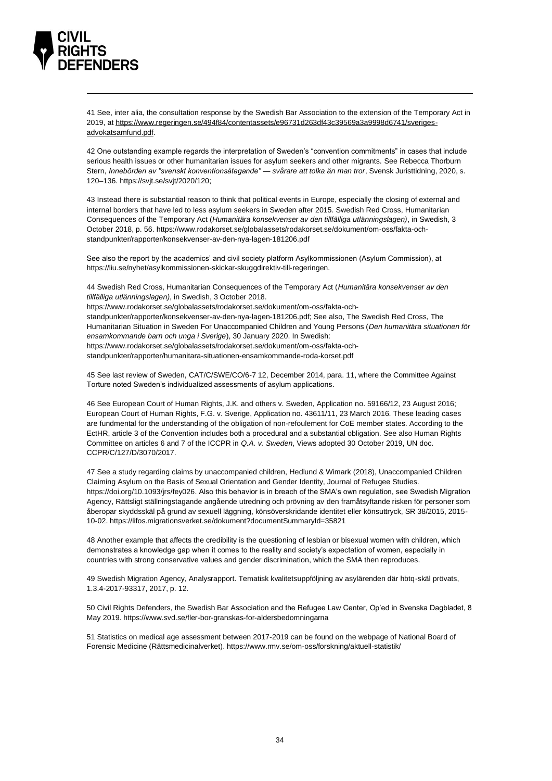

41 See, inter alia, the consultation response by the Swedish Bar Association to the extension of the Temporary Act in 2019, a[t https://www.regeringen.se/494f84/contentassets/e96731d263df43c39569a3a9998d6741/sveriges](https://www.regeringen.se/494f84/contentassets/e96731d263df43c39569a3a9998d6741/sveriges-advokatsamfund.pdf)[advokatsamfund.pdf.](https://www.regeringen.se/494f84/contentassets/e96731d263df43c39569a3a9998d6741/sveriges-advokatsamfund.pdf)

42 One outstanding example regards the interpretation of Sweden's "convention commitments" in cases that include serious health issues or other humanitarian issues for asylum seekers and other migrants. See Rebecca Thorburn Stern, *Innebörden av "svenskt konventionsåtagande" — svårare att tolka än man tror*, Svensk Juristtidning, 2020, s. 120–136[. https://svjt.se/svjt/2020/120;](https://svjt.se/svjt/2020/120)

43 Instead there is substantial reason to think that political events in Europe, especially the closing of external and internal borders that have led to less asylum seekers in Sweden after 2015. Swedish Red Cross, Humanitarian Consequences of the Temporary Act (*Humanitära konsekvenser av den tillfälliga utlänningslagen)*, in Swedish, 3 October 2018, p. 56[. https://www.rodakorset.se/globalassets/rodakorset.se/dokument/om-oss/fakta-och](https://www.rodakorset.se/globalassets/rodakorset.se/dokument/om-oss/fakta-och-standpunkter/rapporter/konsekvenser-av-den-nya-lagen-181206.pdf)[standpunkter/rapporter/konsekvenser-av-den-nya-lagen-181206.pdf](https://www.rodakorset.se/globalassets/rodakorset.se/dokument/om-oss/fakta-och-standpunkter/rapporter/konsekvenser-av-den-nya-lagen-181206.pdf)

See also the report by the academics' and civil society platform Asylkommissionen (Asylum Commission), at [https://liu.se/nyhet/asylkommissionen-skickar-skuggdirektiv-till-regeringen.](https://liu.se/nyhet/asylkommissionen-skickar-skuggdirektiv-till-regeringen)

44 Swedish Red Cross, Humanitarian Consequences of the Temporary Act (*Humanitära konsekvenser av den tillfälliga utlänningslagen)*, in Swedish, 3 October 2018.

[https://www.rodakorset.se/globalassets/rodakorset.se/dokument/om-oss/fakta-och-](https://www.rodakorset.se/globalassets/rodakorset.se/dokument/om-oss/fakta-och-standpunkter/rapporter/konsekvenser-av-den-nya-lagen-181206.pdf)

[standpunkter/rapporter/konsekvenser-av-den-nya-lagen-181206.pdf;](https://www.rodakorset.se/globalassets/rodakorset.se/dokument/om-oss/fakta-och-standpunkter/rapporter/konsekvenser-av-den-nya-lagen-181206.pdf) See also, The Swedish Red Cross, The Humanitarian Situation in Sweden For Unaccompanied Children and Young Persons (*Den humanitära situationen för ensamkommande barn och unga i Sverige*), 30 January 2020. In Swedish: [https://www.rodakorset.se/globalassets/rodakorset.se/dokument/om-oss/fakta-och-](https://www.rodakorset.se/globalassets/rodakorset.se/dokument/om-oss/fakta-och-standpunkter/rapporter/humanitara-situationen-ensamkommande-roda-korset.pdf)

[standpunkter/rapporter/humanitara-situationen-ensamkommande-roda-korset.pdf](https://www.rodakorset.se/globalassets/rodakorset.se/dokument/om-oss/fakta-och-standpunkter/rapporter/humanitara-situationen-ensamkommande-roda-korset.pdf)

45 See last review of Sweden, CAT/C/SWE/CO/6-7 12, December 2014, para. 11, where the Committee Against Torture noted Sweden's individualized assessments of asylum applications.

46 See European Court of Human Rights, J.K. and others v. Sweden, Application no. 59166/12, 23 August 2016; European Court of Human Rights, F.G. v. Sverige, Application no. 43611/11, 23 March 2016. These leading cases are fundmental for the understanding of the obligation of non-refoulement for CoE member states. According to the EctHR, article 3 of the Convention includes both a procedural and a substantial obligation. See also Human Rights Committee on articles 6 and 7 of the ICCPR in *Q.A. v. Sweden*, Views adopted 30 October 2019, UN doc. CCPR/C/127/D/3070/2017.

47 See a study regarding claims by unaccompanied children, Hedlund & Wimark (2018), Unaccompanied Children Claiming Asylum on the Basis of Sexual Orientation and Gender Identity, Journal of Refugee Studies. [https://doi.org/10.1093/jrs/fey026.](https://doi.org/10.1093/jrs/fey026) Also this behavior is in breach of the SMA's own regulation, see Swedish Migration Agency, Rättsligt ställningstagande angående utredning och prövning av den framåtsyftande risken för personer som åberopar skyddsskäl på grund av sexuell läggning, könsöverskridande identitet eller könsuttryck, SR 38/2015, 2015- 10-02[. https://lifos.migrationsverket.se/dokument?documentSummaryId=35821](https://lifos.migrationsverket.se/dokument?documentSummaryId=35821)

48 Another example that affects the credibility is the questioning of lesbian or bisexual women with children, which demonstrates a knowledge gap when it comes to the reality and society's expectation of women, especially in countries with strong conservative values and gender discrimination, which the SMA then reproduces.

49 Swedish Migration Agency, Analysrapport. Tematisk kvalitetsuppföljning av asylärenden där hbtq-skäl prövats, 1.3.4-2017-93317, 2017, p. 12.

50 Civil Rights Defenders, the Swedish Bar Association and the Refugee Law Center, Op'ed in Svenska Dagbladet, 8 May 2019.<https://www.svd.se/fler-bor-granskas-for-aldersbedomningarna>

51 Statistics on medical age assessment between 2017-2019 can be found on the webpage of National Board of Forensic Medicine (Rättsmedicinalverket)[. https://www.rmv.se/om-oss/forskning/aktuell-statistik/](https://www.rmv.se/om-oss/forskning/aktuell-statistik/)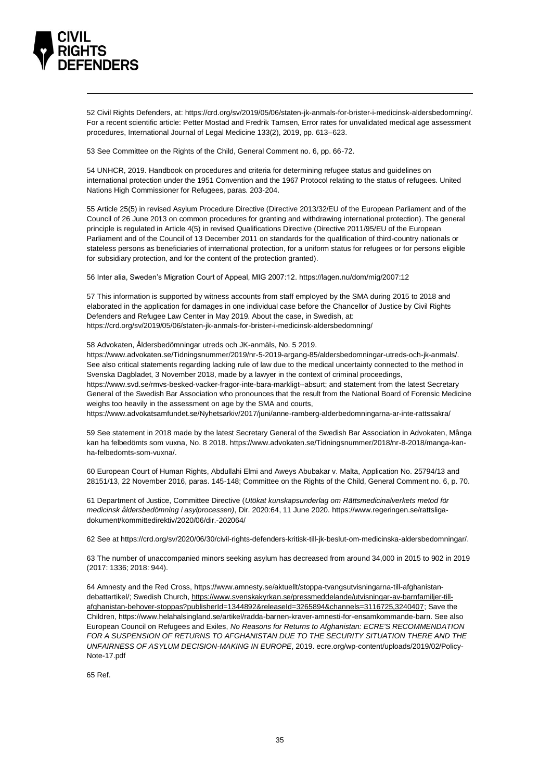

52 Civil Rights Defenders, at[: https://crd.org/sv/2019/05/06/staten-jk-anmals-for-brister-i-medicinsk-aldersbedomning/.](https://crd.org/sv/2019/05/06/staten-jk-anmals-for-brister-i-medicinsk-aldersbedomning/) For a recent scientific article: Petter Mostad and Fredrik Tamsen, Error rates for unvalidated medical age assessment procedures, International Journal of Legal Medicine 133(2), 2019, pp. 613–623.

53 See Committee on the Rights of the Child, General Comment no. 6, pp. 66-72.

54 UNHCR, 2019. Handbook on procedures and criteria for determining refugee status and guidelines on international protection under the 1951 Convention and the 1967 Protocol relating to the status of refugees. United Nations High Commissioner for Refugees, paras. 203-204.

55 Article 25(5) in revised Asylum Procedure Directive (Directive 2013/32/EU of the European Parliament and of the Council of 26 June 2013 on common procedures for granting and withdrawing international protection). The general principle is regulated in Article 4(5) in revised Qualifications Directive (Directive 2011/95/EU of the European Parliament and of the Council of 13 December 2011 on standards for the qualification of third-country nationals or stateless persons as beneficiaries of international protection, for a uniform status for refugees or for persons eligible for subsidiary protection, and for the content of the protection granted).

56 Inter alia, Sweden's Migration Court of Appeal, MIG 2007:12[. https://lagen.nu/dom/mig/2007:12](https://lagen.nu/dom/mig/2007:12)

57 This information is supported by witness accounts from staff employed by the SMA during 2015 to 2018 and elaborated in the application for damages in one individual case before the Chancellor of Justice by Civil Rights Defenders and Refugee Law Center in May 2019. About the case, in Swedish, at: <https://crd.org/sv/2019/05/06/staten-jk-anmals-for-brister-i-medicinsk-aldersbedomning/>

58 Advokaten, Åldersbedömningar utreds och JK-anmäls, No. 5 2019.

[https://www.advokaten.se/Tidningsnummer/2019/nr-5-2019-argang-85/aldersbedomningar-utreds-och-jk-anmals/.](https://www.advokaten.se/Tidningsnummer/2019/nr-5-2019-argang-85/aldersbedomningar-utreds-och-jk-anmals/) See also critical statements regarding lacking rule of law due to the medical uncertainty connected to the method in Svenska Dagbladet, 3 November 2018, made by a lawyer in the context of criminal proceedings, [https://www.svd.se/rmvs-besked-vacker-fragor-inte-bara-markligt--absurt;](https://www.svd.se/rmvs-besked-vacker-fragor-inte-bara-markligt--absurt) and statement from the latest Secretary General of the Swedish Bar Association who pronounces that the result from the National Board of Forensic Medicine weighs too heavily in the assessment on age by the SMA and courts,

<https://www.advokatsamfundet.se/Nyhetsarkiv/2017/juni/anne-ramberg-alderbedomningarna-ar-inte-rattssakra/>

59 See statement in 2018 made by the latest Secretary General of the Swedish Bar Association in Advokaten, Många kan ha felbedömts som vuxna, No. 8 2018. [https://www.advokaten.se/Tidningsnummer/2018/nr-8-2018/manga-kan](https://www.advokaten.se/Tidningsnummer/2018/nr-8-2018/manga-kan-ha-felbedomts-som-vuxna/)[ha-felbedomts-som-vuxna/.](https://www.advokaten.se/Tidningsnummer/2018/nr-8-2018/manga-kan-ha-felbedomts-som-vuxna/)

60 European Court of Human Rights, Abdullahi Elmi and Aweys Abubakar v. Malta, Application No. 25794/13 and 28151/13, 22 November 2016, paras. 145-148; Committee on the Rights of the Child, General Comment no. 6, p. 70.

61 Department of Justice, Committee Directive (*Utökat kunskapsunderlag om Rättsmedicinalverkets metod för medicinsk åldersbedömning i asylprocessen)*, Dir. 2020:64, 11 June 2020. [https://www.regeringen.se/rattsliga](https://www.regeringen.se/rattsliga-dokument/kommittedirektiv/2020/06/dir.-202064/)[dokument/kommittedirektiv/2020/06/dir.-202064/](https://www.regeringen.se/rattsliga-dokument/kommittedirektiv/2020/06/dir.-202064/)

62 See at [https://crd.org/sv/2020/06/30/civil-rights-defenders-kritisk-till-jk-beslut-om-medicinska-aldersbedomningar/.](https://crd.org/sv/2020/06/30/civil-rights-defenders-kritisk-till-jk-beslut-om-medicinska-aldersbedomningar/)

63 The number of unaccompanied minors seeking asylum has decreased from around 34,000 in 2015 to 902 in 2019 (2017: 1336; 2018: 944).

64 Amnesty and the Red Cross[, https://www.amnesty.se/aktuellt/stoppa-tvangsutvisningarna-till-afghanistan](https://www.amnesty.se/aktuellt/stoppa-tvangsutvisningarna-till-afghanistan-debattartikel/)[debattartikel/;](https://www.amnesty.se/aktuellt/stoppa-tvangsutvisningarna-till-afghanistan-debattartikel/) Swedish Church[, https://www.svenskakyrkan.se/pressmeddelande/utvisningar-av-barnfamiljer-till](https://www.svenskakyrkan.se/pressmeddelande/utvisningar-av-barnfamiljer-till-afghanistan-behover-stoppas?publisherId=1344892&releaseId=3265894&channels=3116725,3240407)[afghanistan-behover-stoppas?publisherId=1344892&releaseId=3265894&channels=3116725,3240407;](https://www.svenskakyrkan.se/pressmeddelande/utvisningar-av-barnfamiljer-till-afghanistan-behover-stoppas?publisherId=1344892&releaseId=3265894&channels=3116725,3240407) Save the Children, [https://www.helahalsingland.se/artikel/radda-barnen-kraver-amnesti-for-ensamkommande-barn.](https://www.helahalsingland.se/artikel/radda-barnen-kraver-amnesti-for-ensamkommande-barn) See also European Council on Refugees and Exiles, *No Reasons for Returns to Afghanistan: ECRE'S RECOMMENDATION FOR A SUSPENSION OF RETURNS TO AFGHANISTAN DUE TO THE SECURITY SITUATION THERE AND THE UNFAIRNESS OF ASYLUM DECISION-MAKING IN EUROPE*, 2019. ecre.org/wp-content/uploads/2019/02/Policy-Note-17.pdf

65 Ref.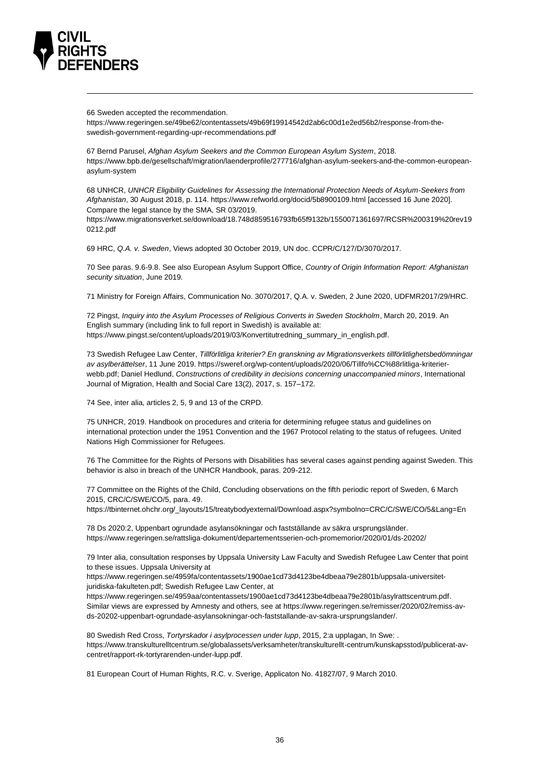

66 Sweden accepted the recommendation.

[https://www.regeringen.se/49be62/contentassets/49b69f19914542d2ab6c00d1e2ed56b2/response-from-the](https://www.regeringen.se/49be62/contentassets/49b69f19914542d2ab6c00d1e2ed56b2/response-from-the-swedish-government-regarding-upr-recommendations.pdf)[swedish-government-regarding-upr-recommendations.pdf](https://www.regeringen.se/49be62/contentassets/49b69f19914542d2ab6c00d1e2ed56b2/response-from-the-swedish-government-regarding-upr-recommendations.pdf)

67 Bernd Parusel, *Afghan Asylum Seekers and the Common European Asylum System*, 2018. [https://www.bpb.de/gesellschaft/migration/laenderprofile/277716/afghan-asylum-seekers-and-the-common-european](https://www.bpb.de/gesellschaft/migration/laenderprofile/277716/afghan-asylum-seekers-and-the-common-european-asylum-system)[asylum-system](https://www.bpb.de/gesellschaft/migration/laenderprofile/277716/afghan-asylum-seekers-and-the-common-european-asylum-system)

68 UNHCR, *UNHCR Eligibility Guidelines for Assessing the International Protection Needs of Asylum-Seekers from Afghanistan*, 30 August 2018, p. 114[. https://www.refworld.org/docid/5b8900109.html](https://www.refworld.org/docid/5b8900109.html) [accessed 16 June 2020]. Compare the legal stance by the SMA, SR 03/2019.

[https://www.migrationsverket.se/download/18.748d859516793fb65f9132b/1550071361697/RCSR%200319%20rev19](https://www.migrationsverket.se/download/18.748d859516793fb65f9132b/1550071361697/RCSR%200319%20rev190212.pdf) [0212.pdf](https://www.migrationsverket.se/download/18.748d859516793fb65f9132b/1550071361697/RCSR%200319%20rev190212.pdf)

69 HRC, *Q.A. v. Sweden*, Views adopted 30 October 2019, UN doc. CCPR/C/127/D/3070/2017.

70 See paras. 9.6-9.8. See also European Asylum Support Office, *Country of Origin Information Report: Afghanistan security situation*, June 2019.

71 Ministry for Foreign Affairs, Communication No. 3070/2017, Q.A. v. Sweden, 2 June 2020, UDFMR2017/29/HRC.

72 Pingst, *Inquiry into the Asylum Processes of Religious Converts in Sweden Stockholm*, March 20, 2019. An English summary (including link to full report in Swedish) is available at: [https://www.pingst.se/content/uploads/2019/03/Konvertitutredning\\_summary\\_in\\_english.pdf.](https://www.pingst.se/content/uploads/2019/03/Konvertitutredning_summary_in_english.pdf)

73 Swedish Refugee Law Center, *Tillförlitliga kriterier? En granskning av Migrationsverkets tillförlitlighetsbedömningar av asylberättelser*, 11 June 2019[. https://sweref.org/wp-content/uploads/2020/06/Tillfo%CC%88rlitliga-kriterier](https://sweref.org/wp-content/uploads/2020/06/Tillfo%CC%88rlitliga-kriterier-webb.pdf)[webb.pdf;](https://sweref.org/wp-content/uploads/2020/06/Tillfo%CC%88rlitliga-kriterier-webb.pdf) Daniel Hedlund, *Constructions of credibility in decisions concerning unaccompanied minors*, International Journal of Migration, Health and Social Care 13(2), 2017, s. 157–172.

74 See, inter alia, articles 2, 5, 9 and 13 of the CRPD.

75 UNHCR, 2019. Handbook on procedures and criteria for determining refugee status and guidelines on international protection under the 1951 Convention and the 1967 Protocol relating to the status of refugees. United Nations High Commissioner for Refugees.

76 The Committee for the Rights of Persons with Disabilities has several cases against pending against Sweden. This behavior is also in breach of the UNHCR Handbook, paras. 209-212.

77 Committee on the Rights of the Child, Concluding observations on the fifth periodic report of Sweden, 6 March 2015, CRC/C/SWE/CO/5, para. 49.

[https://tbinternet.ohchr.org/\\_layouts/15/treatybodyexternal/Download.aspx?symbolno=CRC/C/SWE/CO/5&Lang=En](https://tbinternet.ohchr.org/_layouts/15/treatybodyexternal/Download.aspx?symbolno=CRC/C/SWE/CO/5&Lang=En)

78 Ds 2020:2, Uppenbart ogrundade asylansökningar och fastställande av säkra ursprungsländer. <https://www.regeringen.se/rattsliga-dokument/departementsserien-och-promemorior/2020/01/ds-20202/>

79 Inter alia, consultation responses by Uppsala University Law Faculty and Swedish Refugee Law Center that point to these issues. Uppsala University at

[https://www.regeringen.se/4959fa/contentassets/1900ae1cd73d4123be4dbeaa79e2801b/uppsala-universitet](https://www.regeringen.se/4959fa/contentassets/1900ae1cd73d4123be4dbeaa79e2801b/uppsala-universitet-juridiska-fakulteten.pdf)[juridiska-fakulteten.pdf;](https://www.regeringen.se/4959fa/contentassets/1900ae1cd73d4123be4dbeaa79e2801b/uppsala-universitet-juridiska-fakulteten.pdf) Swedish Refugee Law Center, at

[https://www.regeringen.se/4959aa/contentassets/1900ae1cd73d4123be4dbeaa79e2801b/asylrattscentrum.pdf.](https://www.regeringen.se/4959aa/contentassets/1900ae1cd73d4123be4dbeaa79e2801b/asylrattscentrum.pdf) Similar views are expressed by Amnesty and others, see a[t https://www.regeringen.se/remisser/2020/02/remiss-av](https://www.regeringen.se/remisser/2020/02/remiss-av-ds-20202-uppenbart-ogrundade-asylansokningar-och-faststallande-av-sakra-ursprungslander/)[ds-20202-uppenbart-ogrundade-asylansokningar-och-faststallande-av-sakra-ursprungslander/.](https://www.regeringen.se/remisser/2020/02/remiss-av-ds-20202-uppenbart-ogrundade-asylansokningar-och-faststallande-av-sakra-ursprungslander/)

80 Swedish Red Cross, *Tortyrskador i asylprocessen under lupp*, 2015, 2:a upplagan, In Swe: . https://www.transkulturelltcentrum.se/globalassets/verksamheter/transkulturellt-centrum/kunskapsstod/publicerat-avcentret/rapport-rk-tortyrarenden-under-lupp.pdf.

81 European Court of Human Rights, R.C. v. Sverige, Applicaton No. 41827/07, 9 March 2010.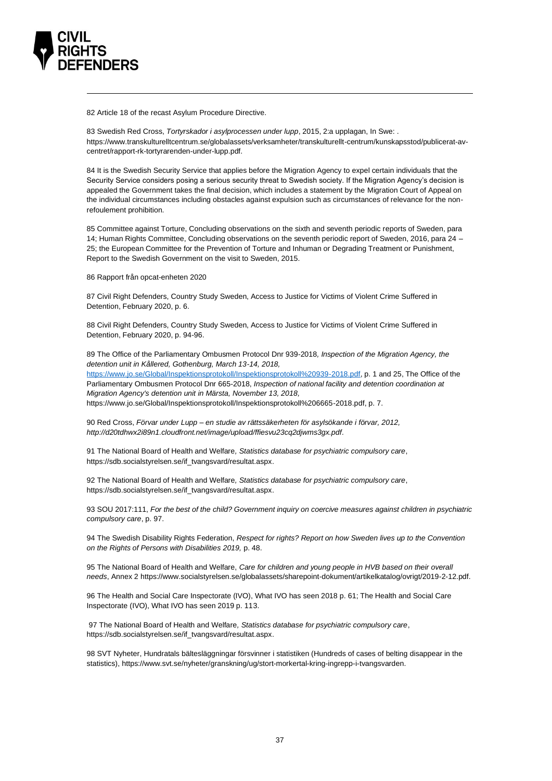

82 Article 18 of the recast Asylum Procedure Directive.

83 Swedish Red Cross, *Tortyrskador i asylprocessen under lupp*, 2015, 2:a upplagan, In Swe: . https://www.transkulturelltcentrum.se/globalassets/verksamheter/transkulturellt-centrum/kunskapsstod/publicerat-avcentret/rapport-rk-tortyrarenden-under-lupp.pdf.

84 It is the Swedish Security Service that applies before the Migration Agency to expel certain individuals that the Security Service considers posing a serious security threat to Swedish society. If the Migration Agency's decision is appealed the Government takes the final decision, which includes a statement by the Migration Court of Appeal on the individual circumstances including obstacles against expulsion such as circumstances of relevance for the nonrefoulement prohibition.

85 Committee against Torture, Concluding observations on the sixth and seventh periodic reports of Sweden, para 14; Human Rights Committee, Concluding observations on the seventh periodic report of Sweden, 2016, para 24 – 25; the European Committee for the Prevention of Torture and Inhuman or Degrading Treatment or Punishment, Report to the Swedish Government on the visit to Sweden, 2015.

86 Rapport från opcat-enheten 2020

87 Civil Right Defenders, Country Study Sweden, Access to Justice for Victims of Violent Crime Suffered in Detention, February 2020, p. 6.

88 Civil Right Defenders, Country Study Sweden, Access to Justice for Victims of Violent Crime Suffered in Detention, February 2020, p. 94-96.

89 The Office of the Parliamentary Ombusmen Protocol Dnr 939-2018*, Inspection of the Migration Agency, the detention unit in Kållered, Gothenburg, March 13-14, 2018,* [https://www.jo.se/Global/Inspektionsprotokoll/Inspektionsprotokoll%20939-2018.pdf,](https://www.jo.se/Global/Inspektionsprotokoll/Inspektionsprotokoll%20939-2018.pdf) p. 1 and 25, The Office of the Parliamentary Ombusmen Protocol Dnr 665-2018, *Inspection of national facility and detention coordination at Migration Agency's detention unit in Märsta, November 13, 2018,*  [https://www.jo.se/Global/Inspektionsprotokoll/Inspektionsprotokoll%206665-2018.pdf,](https://www.jo.se/Global/Inspektionsprotokoll/Inspektionsprotokoll%206665-2018.pdf) p. 7.

90 Red Cross, *Förvar under Lupp – en studie av rättssäkerheten för asylsökande i förvar, 2012, [http://d20tdhwx2i89n1.cloudfront.net/image/upload/ffiesvu23cq2djwms3gx.pdf.](http://d20tdhwx2i89n1.cloudfront.net/image/upload/ffiesvu23cq2djwms3gx.pdf)* 

91 The National Board of Health and Welfare*, Statistics database for psychiatric compulsory care*, [https://sdb.socialstyrelsen.se/if\\_tvangsvard/resultat.aspx.](https://sdb.socialstyrelsen.se/if_tvangsvard/resultat.aspx)

92 The National Board of Health and Welfare*, Statistics database for psychiatric compulsory care*, [https://sdb.socialstyrelsen.se/if\\_tvangsvard/resultat.aspx.](https://sdb.socialstyrelsen.se/if_tvangsvard/resultat.aspx)

93 SOU 2017:111, *For the best of the child? Government inquiry on coercive measures against children in psychiatric compulsory care*, p. 97.

94 The Swedish Disability Rights Federation, *Respect for rights? Report on how Sweden lives up to the Convention on the Rights of Persons with Disabilities 2019,* p. 48.

95 The National Board of Health and Welfare, *Care for children and young people in HVB based on their overall needs*, Annex 2 [https://www.socialstyrelsen.se/globalassets/sharepoint-dokument/artikelkatalog/ovrigt/2019-2-12.pdf.](https://www.socialstyrelsen.se/globalassets/sharepoint-dokument/artikelkatalog/ovrigt/2019-2-12.pdf) 

96 The Health and Social Care Inspectorate (IVO), What IVO has seen 2018 p. 61; The Health and Social Care Inspectorate (IVO), What IVO has seen 2019 p. 113.

97 The National Board of Health and Welfare*, Statistics database for psychiatric compulsory care*, [https://sdb.socialstyrelsen.se/if\\_tvangsvard/resultat.aspx.](https://sdb.socialstyrelsen.se/if_tvangsvard/resultat.aspx)

98 SVT Nyheter, Hundratals bältesläggningar försvinner i statistiken (Hundreds of cases of belting disappear in the statistics)[, https://www.svt.se/nyheter/granskning/ug/stort-morkertal-kring-ingrepp-i-tvangsvarden.](https://www.svt.se/nyheter/granskning/ug/stort-morkertal-kring-ingrepp-i-tvangsvarden)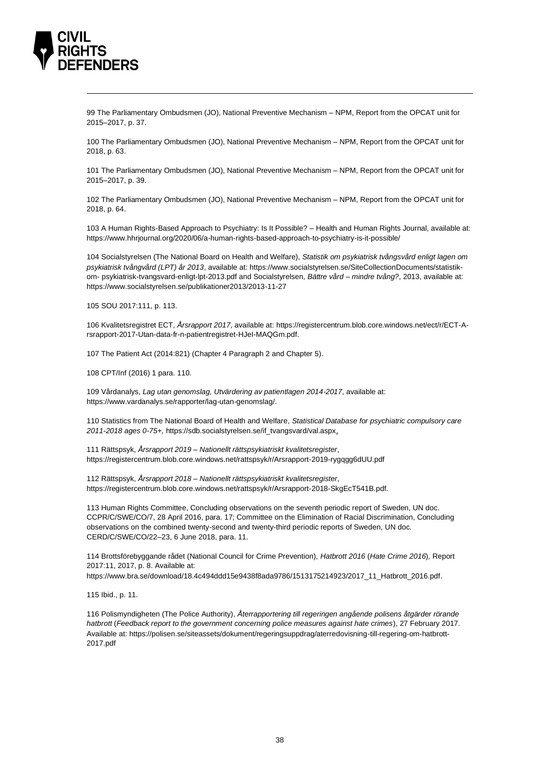

99 The Parliamentary Ombudsmen (JO), National Preventive Mechanism – NPM, Report from the OPCAT unit for 2015–2017, p. 37.

100 The Parliamentary Ombudsmen (JO), National Preventive Mechanism – NPM, Report from the OPCAT unit for 2018, p. 63.

101 The Parliamentary Ombudsmen (JO), National Preventive Mechanism – NPM, Report from the OPCAT unit for 2015–2017, p. 39.

102 The Parliamentary Ombudsmen (JO), National Preventive Mechanism – NPM, Report from the OPCAT unit for 2018, p. 64.

103 A Human Rights-Based Approach to Psychiatry: Is It Possible? – Health and Human Rights Journal, available at: <https://www.hhrjournal.org/2020/06/a-human-rights-based-approach-to-psychiatry-is-it-possible/>

104 Socialstyrelsen (The National Board on Health and Welfare), *Statistik om psykiatrisk tvångsvård enligt lagen om psykiatrisk tvångvård (LPT) år 2013*, available at[: https://www.socialstyrelsen.se/SiteCollectionDocuments/statistik](https://www.socialstyrelsen.se/SiteCollectionDocuments/statistik-om-%20psykiatrisk-tvangsvard-enligt-lpt-2013.pdf)om- [psykiatrisk-tvangsvard-enligt-lpt-2013.pdf](https://www.socialstyrelsen.se/SiteCollectionDocuments/statistik-om-%20psykiatrisk-tvangsvard-enligt-lpt-2013.pdf) and Socialstyrelsen*, Bättre vård – mindre tvång?*, 2013, available at: <https://www.socialstyrelsen.se/publikationer2013/2013-11-27>

105 SOU 2017:111, p. 113.

106 Kvalitetsregistret ECT, *Årsrapport 2017*, available at[: https://registercentrum.blob.core.windows.net/ect/r/ECT-A](https://registercentrum.blob.core.windows.net/ect/r/ECT-A-rsrapport-2017-Utan-data-fr-n-patientregistret-HJeI-MAQGm.pdf)[rsrapport-2017-Utan-data-fr-n-patientregistret-HJeI-MAQGm.pdf.](https://registercentrum.blob.core.windows.net/ect/r/ECT-A-rsrapport-2017-Utan-data-fr-n-patientregistret-HJeI-MAQGm.pdf)

107 The Patient Act (2014:821) (Chapter 4 Paragraph 2 and Chapter 5).

108 CPT/Inf (2016) 1 para. 110.

109 Vårdanalys, *Lag utan genomslag, Utvärdering av patientlagen 2014-2017*, available at: [https://www.vardanalys.se/rapporter/lag-utan-genomslag/.](https://www.vardanalys.se/rapporter/lag-utan-genomslag/) 

110 Statistics from The National Board of Health and Welfare, *Statistical Database for psychiatric compulsory care 2011-2018 ages 0-75+,* [https://sdb.socialstyrelsen.se/if\\_tvangsvard/val.aspx.](https://sdb.socialstyrelsen.se/if_tvangsvard/val.aspx) 

111 Rättspsyk, *Årsrapport 2019 – Nationellt rättspsykiatriskt kvalitetsregister*, <https://registercentrum.blob.core.windows.net/rattspsyk/r/Arsrapport-2019-rygqgg6dUU.pdf>

112 Rättspsyk, *Årsrapport 2018 – Nationellt rättspsykiatriskt kvalitetsregister*, [https://registercentrum.blob.core.windows.net/rattspsyk/r/Arsrapport-2018-SkgEcT541B.pdf.](https://registercentrum.blob.core.windows.net/rattspsyk/r/Arsrapport-2018-SkgEcT541B.pdf) 

113 Human Rights Committee, Concluding observations on the seventh periodic report of Sweden, UN doc. CCPR/C/SWE/CO/7, 28 April 2016, para. 17; Committee on the Elimination of Racial Discrimination, Concluding observations on the combined twenty-second and twenty-third periodic reports of Sweden, UN doc. CERD/C/SWE/CO/22–23, 6 June 2018, para. 11.

114 Brottsförebyggande rådet (National Council for Crime Prevention), *Hatbrott 2016* (*Hate Crime 2016*)*,* Report 2017:11, 2017, p. 8. Available at:

[https://www.bra.se/download/18.4c494ddd15e9438f8ada9786/1513175214923/2017\\_11\\_Hatbrott\\_2016.pdf.](https://www.bra.se/download/18.4c494ddd15e9438f8ada9786/1513175214923/2017_11_Hatbrott_2016.pdf)

115 Ibid., p. 11.

116 Polismyndigheten (The Police Authority), *Återrapportering till regeringen angående polisens åtgärder rörande hatbrott* (*Feedback report to the government concerning police measures against hate crimes*), 27 February 2017. Available at: [https://polisen.se/siteassets/dokument/regeringsuppdrag/aterredovisning-till-regering-om-hatbrott-](https://polisen.se/siteassets/dokument/regeringsuppdrag/aterredovisning-till-regering-om-hatbrott-2017.pdf)[2017.pdf](https://polisen.se/siteassets/dokument/regeringsuppdrag/aterredovisning-till-regering-om-hatbrott-2017.pdf)